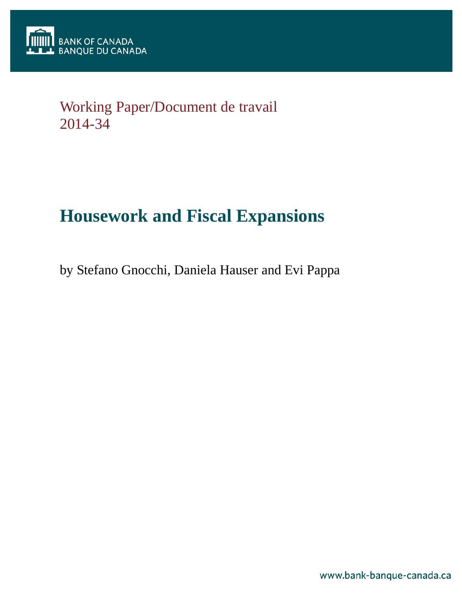

# Working Paper/Document de travail 2014-34

# **Housework and Fiscal Expansions**

by Stefano Gnocchi, Daniela Hauser and Evi Pappa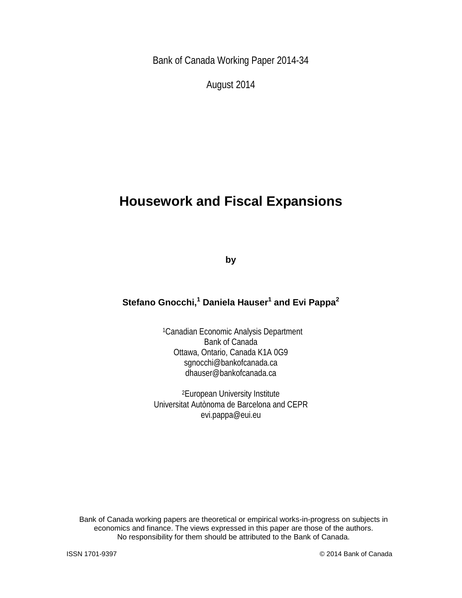Bank of Canada Working Paper 2014-34

August 2014

## **Housework and Fiscal Expansions**

**by**

## **Stefano Gnocchi,<sup>1</sup> Daniela Hauser<sup>1</sup> and Evi Pappa<sup>2</sup>**

1Canadian Economic Analysis Department Bank of Canada Ottawa, Ontario, Canada K1A 0G9 sgnocchi@bankofcanada.ca dhauser@bankofcanada.ca

2European University Institute Universitat Autònoma de Barcelona and CEPR evi.pappa@eui.eu

Bank of Canada working papers are theoretical or empirical works-in-progress on subjects in economics and finance. The views expressed in this paper are those of the authors. No responsibility for them should be attributed to the Bank of Canada.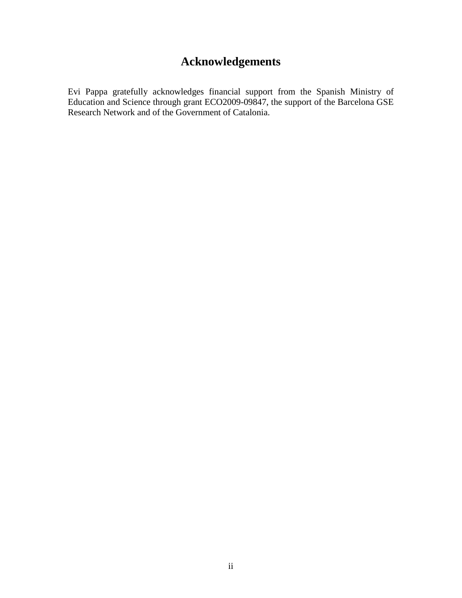## **Acknowledgements**

Evi Pappa gratefully acknowledges financial support from the Spanish Ministry of Education and Science through grant ECO2009-09847, the support of the Barcelona GSE Research Network and of the Government of Catalonia.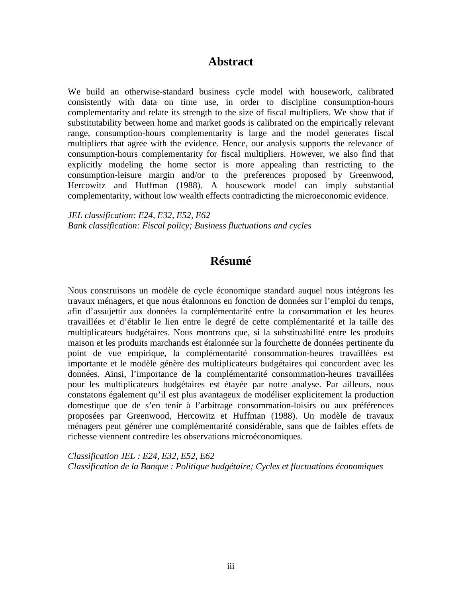### **Abstract**

We build an otherwise-standard business cycle model with housework, calibrated consistently with data on time use, in order to discipline consumption-hours complementarity and relate its strength to the size of fiscal multipliers. We show that if substitutability between home and market goods is calibrated on the empirically relevant range, consumption-hours complementarity is large and the model generates fiscal multipliers that agree with the evidence. Hence, our analysis supports the relevance of consumption-hours complementarity for fiscal multipliers. However, we also find that explicitly modeling the home sector is more appealing than restricting to the consumption-leisure margin and/or to the preferences proposed by Greenwood, Hercowitz and Huffman (1988). A housework model can imply substantial complementarity, without low wealth effects contradicting the microeconomic evidence.

*JEL classification: E24, E32, E52, E62 Bank classification: Fiscal policy; Business fluctuations and cycles*

## **Résumé**

Nous construisons un modèle de cycle économique standard auquel nous intégrons les travaux ménagers, et que nous étalonnons en fonction de données sur l'emploi du temps, afin d'assujettir aux données la complémentarité entre la consommation et les heures travaillées et d'établir le lien entre le degré de cette complémentarité et la taille des multiplicateurs budgétaires. Nous montrons que, si la substituabilité entre les produits maison et les produits marchands est étalonnée sur la fourchette de données pertinente du point de vue empirique, la complémentarité consommation-heures travaillées est importante et le modèle génère des multiplicateurs budgétaires qui concordent avec les données. Ainsi, l'importance de la complémentarité consommation-heures travaillées pour les multiplicateurs budgétaires est étayée par notre analyse. Par ailleurs, nous constatons également qu'il est plus avantageux de modéliser explicitement la production domestique que de s'en tenir à l'arbitrage consommation-loisirs ou aux préférences proposées par Greenwood, Hercowitz et Huffman (1988). Un modèle de travaux ménagers peut générer une complémentarité considérable, sans que de faibles effets de richesse viennent contredire les observations microéconomiques.

*Classification JEL : E24, E32, E52, E62 Classification de la Banque : Politique budgétaire; Cycles et fluctuations économiques*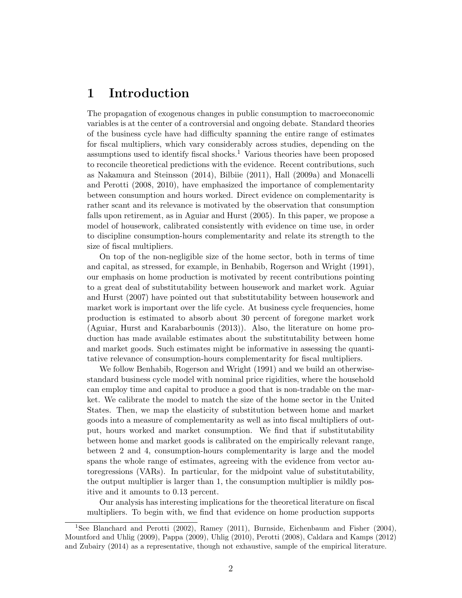## 1 Introduction

The propagation of exogenous changes in public consumption to macroeconomic variables is at the center of a controversial and ongoing debate. Standard theories of the business cycle have had difficulty spanning the entire range of estimates for fiscal multipliers, which vary considerably across studies, depending on the assumptions used to identify fiscal shocks.<sup>1</sup> Various theories have been proposed to reconcile theoretical predictions with the evidence. Recent contributions, such as Nakamura and Steinsson (2014), Bilbiie (2011), Hall (2009a) and Monacelli and Perotti (2008, 2010), have emphasized the importance of complementarity between consumption and hours worked. Direct evidence on complementarity is rather scant and its relevance is motivated by the observation that consumption falls upon retirement, as in Aguiar and Hurst (2005). In this paper, we propose a model of housework, calibrated consistently with evidence on time use, in order to discipline consumption-hours complementarity and relate its strength to the size of fiscal multipliers.

On top of the non-negligible size of the home sector, both in terms of time and capital, as stressed, for example, in Benhabib, Rogerson and Wright (1991), our emphasis on home production is motivated by recent contributions pointing to a great deal of substitutability between housework and market work. Aguiar and Hurst (2007) have pointed out that substitutability between housework and market work is important over the life cycle. At business cycle frequencies, home production is estimated to absorb about 30 percent of foregone market work (Aguiar, Hurst and Karabarbounis (2013)). Also, the literature on home production has made available estimates about the substitutability between home and market goods. Such estimates might be informative in assessing the quantitative relevance of consumption-hours complementarity for fiscal multipliers.

We follow Benhabib, Rogerson and Wright (1991) and we build an otherwisestandard business cycle model with nominal price rigidities, where the household can employ time and capital to produce a good that is non-tradable on the market. We calibrate the model to match the size of the home sector in the United States. Then, we map the elasticity of substitution between home and market goods into a measure of complementarity as well as into fiscal multipliers of output, hours worked and market consumption. We find that if substitutability between home and market goods is calibrated on the empirically relevant range, between 2 and 4, consumption-hours complementarity is large and the model spans the whole range of estimates, agreeing with the evidence from vector autoregressions (VARs). In particular, for the midpoint value of substitutability, the output multiplier is larger than 1, the consumption multiplier is mildly positive and it amounts to 0.13 percent.

Our analysis has interesting implications for the theoretical literature on fiscal multipliers. To begin with, we find that evidence on home production supports

<sup>1</sup>See Blanchard and Perotti (2002), Ramey (2011), Burnside, Eichenbaum and Fisher (2004), Mountford and Uhlig (2009), Pappa (2009), Uhlig (2010), Perotti (2008), Caldara and Kamps (2012) and Zubairy (2014) as a representative, though not exhaustive, sample of the empirical literature.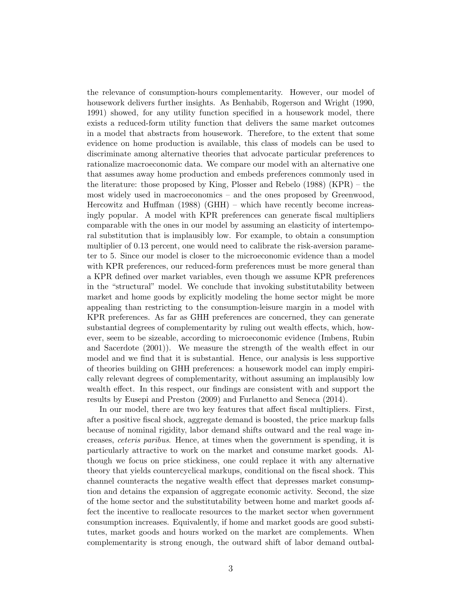the relevance of consumption-hours complementarity. However, our model of housework delivers further insights. As Benhabib, Rogerson and Wright (1990, 1991) showed, for any utility function specified in a housework model, there exists a reduced-form utility function that delivers the same market outcomes in a model that abstracts from housework. Therefore, to the extent that some evidence on home production is available, this class of models can be used to discriminate among alternative theories that advocate particular preferences to rationalize macroeconomic data. We compare our model with an alternative one that assumes away home production and embeds preferences commonly used in the literature: those proposed by King, Plosser and Rebelo (1988) (KPR) – the most widely used in macroeconomics – and the ones proposed by Greenwood, Hercowitz and Huffman (1988) (GHH) – which have recently become increasingly popular. A model with KPR preferences can generate fiscal multipliers comparable with the ones in our model by assuming an elasticity of intertemporal substitution that is implausibly low. For example, to obtain a consumption multiplier of 0.13 percent, one would need to calibrate the risk-aversion parameter to 5. Since our model is closer to the microeconomic evidence than a model with KPR preferences, our reduced-form preferences must be more general than a KPR defined over market variables, even though we assume KPR preferences in the "structural" model. We conclude that invoking substitutability between market and home goods by explicitly modeling the home sector might be more appealing than restricting to the consumption-leisure margin in a model with KPR preferences. As far as GHH preferences are concerned, they can generate substantial degrees of complementarity by ruling out wealth effects, which, however, seem to be sizeable, according to microeconomic evidence (Imbens, Rubin and Sacerdote (2001)). We measure the strength of the wealth effect in our model and we find that it is substantial. Hence, our analysis is less supportive of theories building on GHH preferences: a housework model can imply empirically relevant degrees of complementarity, without assuming an implausibly low wealth effect. In this respect, our findings are consistent with and support the results by Eusepi and Preston (2009) and Furlanetto and Seneca (2014).

In our model, there are two key features that affect fiscal multipliers. First, after a positive fiscal shock, aggregate demand is boosted, the price markup falls because of nominal rigidity, labor demand shifts outward and the real wage increases, ceteris paribus. Hence, at times when the government is spending, it is particularly attractive to work on the market and consume market goods. Although we focus on price stickiness, one could replace it with any alternative theory that yields countercyclical markups, conditional on the fiscal shock. This channel counteracts the negative wealth effect that depresses market consumption and detains the expansion of aggregate economic activity. Second, the size of the home sector and the substitutability between home and market goods affect the incentive to reallocate resources to the market sector when government consumption increases. Equivalently, if home and market goods are good substitutes, market goods and hours worked on the market are complements. When complementarity is strong enough, the outward shift of labor demand outbal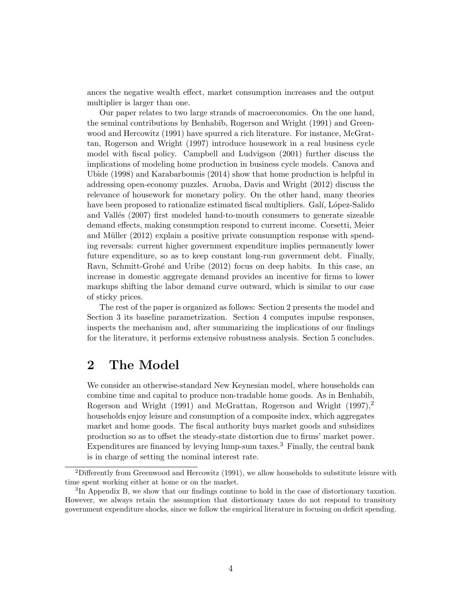ances the negative wealth effect, market consumption increases and the output multiplier is larger than one.

Our paper relates to two large strands of macroeconomics. On the one hand, the seminal contributions by Benhabib, Rogerson and Wright (1991) and Greenwood and Hercowitz (1991) have spurred a rich literature. For instance, McGrattan, Rogerson and Wright (1997) introduce housework in a real business cycle model with fiscal policy. Campbell and Ludvigson (2001) further discuss the implications of modeling home production in business cycle models. Canova and Ubide (1998) and Karabarbounis (2014) show that home production is helpful in addressing open-economy puzzles. Aruoba, Davis and Wright (2012) discuss the relevance of housework for monetary policy. On the other hand, many theories have been proposed to rationalize estimated fiscal multipliers. Galí, López-Salido and Vallés (2007) first modeled hand-to-mouth consumers to generate sizeable demand effects, making consumption respond to current income. Corsetti, Meier and Müller  $(2012)$  explain a positive private consumption response with spending reversals: current higher government expenditure implies permanently lower future expenditure, so as to keep constant long-run government debt. Finally, Ravn, Schmitt-Grohé and Uribe (2012) focus on deep habits. In this case, an increase in domestic aggregate demand provides an incentive for firms to lower markups shifting the labor demand curve outward, which is similar to our case of sticky prices.

The rest of the paper is organized as follows: Section 2 presents the model and Section 3 its baseline parametrization. Section 4 computes impulse responses, inspects the mechanism and, after summarizing the implications of our findings for the literature, it performs extensive robustness analysis. Section 5 concludes.

## 2 The Model

We consider an otherwise-standard New Keynesian model, where households can combine time and capital to produce non-tradable home goods. As in Benhabib, Rogerson and Wright (1991) and McGrattan, Rogerson and Wright  $(1997)$ ,<sup>2</sup> households enjoy leisure and consumption of a composite index, which aggregates market and home goods. The fiscal authority buys market goods and subsidizes production so as to offset the steady-state distortion due to firms' market power. Expenditures are financed by levying lump-sum taxes.<sup>3</sup> Finally, the central bank is in charge of setting the nominal interest rate.

<sup>&</sup>lt;sup>2</sup>Differently from Greenwood and Hercowitz (1991), we allow households to substitute leisure with time spent working either at home or on the market.

<sup>&</sup>lt;sup>3</sup>In Appendix B, we show that our findings continue to hold in the case of distortionary taxation. However, we always retain the assumption that distortionary taxes do not respond to transitory government expenditure shocks, since we follow the empirical literature in focusing on deficit spending.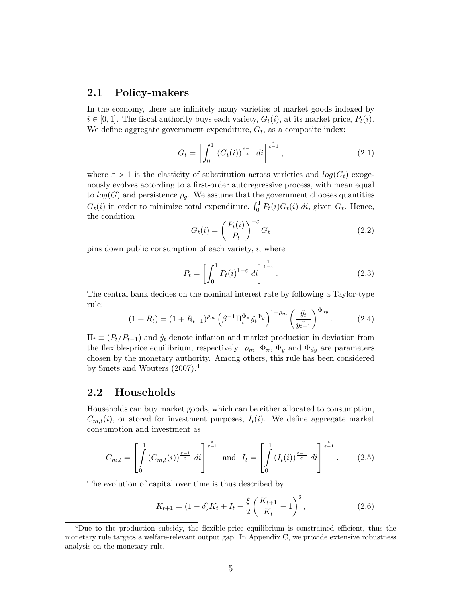#### 2.1 Policy-makers

In the economy, there are infinitely many varieties of market goods indexed by  $i \in [0,1]$ . The fiscal authority buys each variety,  $G_t(i)$ , at its market price,  $P_t(i)$ . We define aggregate government expenditure,  $G_t$ , as a composite index:

$$
G_t = \left[ \int_0^1 \left( G_t(i) \right)^{\frac{\varepsilon - 1}{\varepsilon}} di \right]^{\frac{\varepsilon}{\varepsilon - 1}},\tag{2.1}
$$

where  $\varepsilon > 1$  is the elasticity of substitution across varieties and  $log(G_t)$  exogenously evolves according to a first-order autoregressive process, with mean equal to  $log(G)$  and persistence  $\rho_q$ . We assume that the government chooses quantities  $G_t(i)$  in order to minimize total expenditure,  $\int_0^1 P_t(i)G_t(i) di$ , given  $G_t$ . Hence, the condition

$$
G_t(i) = \left(\frac{P_t(i)}{P_t}\right)^{-\varepsilon} G_t \tag{2.2}
$$

pins down public consumption of each variety,  $i$ , where

$$
P_t = \left[ \int_0^1 P_t(i)^{1-\varepsilon} \, di \right]^{\frac{1}{1-\varepsilon}}.
$$
\n(2.3)

The central bank decides on the nominal interest rate by following a Taylor-type rule:

$$
(1 + R_t) = (1 + R_{t-1})^{\rho_m} \left(\beta^{-1} \Pi_t^{\Phi_\pi} \tilde{y}_t^{\Phi_y}\right)^{1 - \rho_m} \left(\frac{\tilde{y}_t}{y_{t-1}^2}\right)^{\Phi_{dy}}.\tag{2.4}
$$

 $\Pi_t \equiv (P_t/P_{t-1})$  and  $\tilde{y}_t$  denote inflation and market production in deviation from the flexible-price equilibrium, respectively.  $\rho_m$ ,  $\Phi_{\pi}$ ,  $\Phi_y$  and  $\Phi_{dy}$  are parameters chosen by the monetary authority. Among others, this rule has been considered by Smets and Wouters (2007).<sup>4</sup>

#### 2.2 Households

Households can buy market goods, which can be either allocated to consumption,  $C_{m,t}(i)$ , or stored for investment purposes,  $I_t(i)$ . We define aggregate market consumption and investment as

$$
C_{m,t} = \left[ \int\limits_0^1 \left( C_{m,t}(i) \right)^{\frac{\varepsilon-1}{\varepsilon}} di \right]^{\frac{\varepsilon}{\varepsilon-1}} \text{ and } I_t = \left[ \int\limits_0^1 \left( I_t(i) \right)^{\frac{\varepsilon-1}{\varepsilon}} di \right]^{\frac{\varepsilon}{\varepsilon-1}}. \tag{2.5}
$$

The evolution of capital over time is thus described by

$$
K_{t+1} = (1 - \delta)K_t + I_t - \frac{\xi}{2} \left( \frac{K_{t+1}}{K_t} - 1 \right)^2, \tag{2.6}
$$

<sup>4</sup>Due to the production subsidy, the flexible-price equilibrium is constrained efficient, thus the monetary rule targets a welfare-relevant output gap. In Appendix C, we provide extensive robustness analysis on the monetary rule.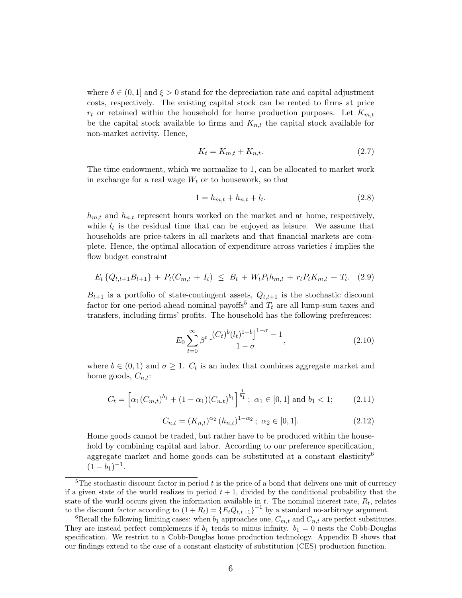where  $\delta \in (0, 1]$  and  $\xi > 0$  stand for the depreciation rate and capital adjustment costs, respectively. The existing capital stock can be rented to firms at price  $r_t$  or retained within the household for home production purposes. Let  $K_{m,t}$ be the capital stock available to firms and  $K_{n,t}$  the capital stock available for non-market activity. Hence,

$$
K_t = K_{m,t} + K_{n,t}.\tag{2.7}
$$

The time endowment, which we normalize to 1, can be allocated to market work in exchange for a real wage  $W_t$  or to housework, so that

$$
1 = h_{m,t} + h_{n,t} + l_t.
$$
\n(2.8)

 $h_{m,t}$  and  $h_{n,t}$  represent hours worked on the market and at home, respectively, while  $l_t$  is the residual time that can be enjoyed as leisure. We assume that households are price-takers in all markets and that financial markets are complete. Hence, the optimal allocation of expenditure across varieties i implies the flow budget constraint

$$
E_t\left\{Q_{t,t+1}B_{t+1}\right\} + P_t(C_{m,t} + I_t) \leq B_t + W_t P_t h_{m,t} + r_t P_t K_{m,t} + T_t. \tag{2.9}
$$

 $B_{t+1}$  is a portfolio of state-contingent assets,  $Q_{t,t+1}$  is the stochastic discount factor for one-period-ahead nominal payoffs<sup>5</sup> and  $T_t$  are all lump-sum taxes and transfers, including firms' profits. The household has the following preferences:

$$
E_0 \sum_{t=0}^{\infty} \beta^t \frac{\left[ (C_t)^b (l_t)^{1-b} \right]^{1-\sigma} - 1}{1-\sigma}, \tag{2.10}
$$

where  $b \in (0,1)$  and  $\sigma \geq 1$ .  $C_t$  is an index that combines aggregate market and home goods,  $C_{n,t}$ :

$$
C_t = \left[ \alpha_1(C_{m,t})^{b_1} + (1 - \alpha_1)(C_{n,t})^{b_1} \right]^{\frac{1}{b_1}}; \ \alpha_1 \in [0,1] \ \text{and} \ b_1 < 1; \tag{2.11}
$$

$$
C_{n,t} = (K_{n,t})^{\alpha_2} (h_{n,t})^{1-\alpha_2}; \ \alpha_2 \in [0,1].
$$
 (2.12)

Home goods cannot be traded, but rather have to be produced within the household by combining capital and labor. According to our preference specification, aggregate market and home goods can be substituted at a constant elasticity<sup>6</sup>  $(1-b_1)^{-1}.$ 

<sup>&</sup>lt;sup>5</sup>The stochastic discount factor in period  $t$  is the price of a bond that delivers one unit of currency if a given state of the world realizes in period  $t + 1$ , divided by the conditional probability that the state of the world occurs given the information available in t. The nominal interest rate,  $R_t$ , relates to the discount factor according to  $(1 + R_t) = {E_t Q_{t,t+1}}^{-1}$  by a standard no-arbitrage argument.

<sup>&</sup>lt;sup>6</sup>Recall the following limiting cases: when  $b_1$  approaches one,  $C_{m,t}$  and  $C_{n,t}$  are perfect substitutes. They are instead perfect complements if  $b_1$  tends to minus infinity.  $b_1 = 0$  nests the Cobb-Douglas specification. We restrict to a Cobb-Douglas home production technology. Appendix B shows that our findings extend to the case of a constant elasticity of substitution (CES) production function.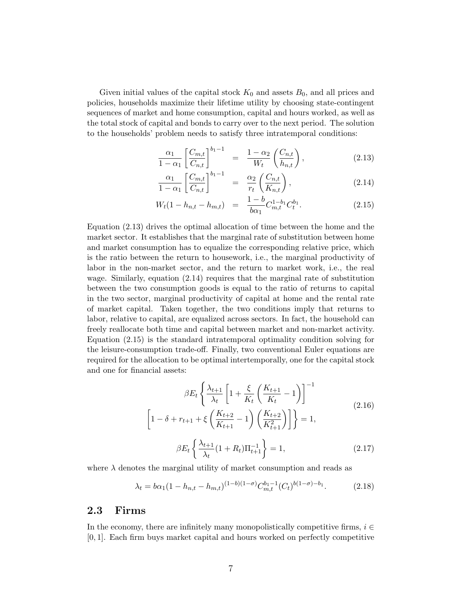Given initial values of the capital stock  $K_0$  and assets  $B_0$ , and all prices and policies, households maximize their lifetime utility by choosing state-contingent sequences of market and home consumption, capital and hours worked, as well as the total stock of capital and bonds to carry over to the next period. The solution to the households' problem needs to satisfy three intratemporal conditions:

$$
\frac{\alpha_1}{1-\alpha_1} \left[ \frac{C_{m,t}}{C_{n,t}} \right]^{b_1-1} = \frac{1-\alpha_2}{W_t} \left( \frac{C_{n,t}}{h_{n,t}} \right), \tag{2.13}
$$

$$
\frac{\alpha_1}{1-\alpha_1} \left[ \frac{C_{m,t}}{C_{n,t}} \right]^{b_1-1} = \frac{\alpha_2}{r_t} \left( \frac{C_{n,t}}{K_{n,t}} \right), \tag{2.14}
$$

$$
W_t(1 - h_{n,t} - h_{m,t}) = \frac{1 - b}{b\alpha_1} C_{m,t}^{1 - b_1} C_t^{b_1}.
$$
 (2.15)

Equation (2.13) drives the optimal allocation of time between the home and the market sector. It establishes that the marginal rate of substitution between home and market consumption has to equalize the corresponding relative price, which is the ratio between the return to housework, i.e., the marginal productivity of labor in the non-market sector, and the return to market work, i.e., the real wage. Similarly, equation (2.14) requires that the marginal rate of substitution between the two consumption goods is equal to the ratio of returns to capital in the two sector, marginal productivity of capital at home and the rental rate of market capital. Taken together, the two conditions imply that returns to labor, relative to capital, are equalized across sectors. In fact, the household can freely reallocate both time and capital between market and non-market activity. Equation (2.15) is the standard intratemporal optimality condition solving for the leisure-consumption trade-off. Finally, two conventional Euler equations are required for the allocation to be optimal intertemporally, one for the capital stock and one for financial assets:

$$
\beta E_t \left\{ \frac{\lambda_{t+1}}{\lambda_t} \left[ 1 + \frac{\xi}{K_t} \left( \frac{K_{t+1}}{K_t} - 1 \right) \right]^{-1} \right\}
$$
\n
$$
\left[ 1 - \delta + r_{t+1} + \xi \left( \frac{K_{t+2}}{K_{t+1}} - 1 \right) \left( \frac{K_{t+2}}{K_{t+1}^2} \right) \right] \right\} = 1,
$$
\n
$$
\beta E_t \left\{ \frac{\lambda_{t+1}}{\lambda_t} (1 + R_t) \Pi_{t+1}^{-1} \right\} = 1,
$$
\n(2.17)

where  $\lambda$  denotes the marginal utility of market consumption and reads as

$$
\lambda_t = b\alpha_1 (1 - h_{n,t} - h_{m,t})^{(1-b)(1-\sigma)} C_{m,t}^{b_1-1} (C_t)^{b(1-\sigma)-b_1}.
$$
 (2.18)

#### 2.3 Firms

In the economy, there are infinitely many monopolistically competitive firms,  $i \in$ [0, 1]. Each firm buys market capital and hours worked on perfectly competitive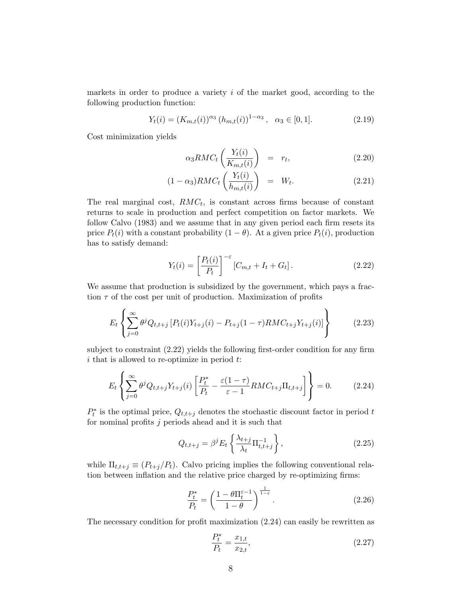markets in order to produce a variety  $i$  of the market good, according to the following production function:

$$
Y_t(i) = (K_{m,t}(i))^{\alpha_3} (h_{m,t}(i))^{1-\alpha_3}, \quad \alpha_3 \in [0,1].
$$
 (2.19)

Cost minimization yields

$$
\alpha_3 RMC_t \left(\frac{Y_t(i)}{K_{m,t}(i)}\right) = r_t, \qquad (2.20)
$$

$$
(1 - \alpha_3)RMC_t\left(\frac{Y_t(i)}{h_{m,t}(i)}\right) = W_t.
$$
\n(2.21)

The real marginal cost,  $RMC_t$ , is constant across firms because of constant returns to scale in production and perfect competition on factor markets. We follow Calvo (1983) and we assume that in any given period each firm resets its price  $P_t(i)$  with a constant probability  $(1 - \theta)$ . At a given price  $P_t(i)$ , production has to satisfy demand:

$$
Y_t(i) = \left[\frac{P_t(i)}{P_t}\right]^{-\varepsilon} [C_{m,t} + I_t + G_t]. \qquad (2.22)
$$

We assume that production is subsidized by the government, which pays a fraction  $\tau$  of the cost per unit of production. Maximization of profits

$$
E_t \left\{ \sum_{j=0}^{\infty} \theta^j Q_{t,t+j} \left[ P_t(i) Y_{t+j}(i) - P_{t+j}(1-\tau) R M C_{t+j} Y_{t+j}(i) \right] \right\}
$$
(2.23)

subject to constraint (2.22) yields the following first-order condition for any firm  $i$  that is allowed to re-optimize in period  $t$ .

$$
E_t\left\{\sum_{j=0}^{\infty} \theta^j Q_{t,t+j} Y_{t+j}(i) \left[\frac{P_t^*}{P_t} - \frac{\varepsilon(1-\tau)}{\varepsilon - 1} RMC_{t+j}\Pi_{t,t+j}\right]\right\} = 0.
$$
 (2.24)

 $P_t^*$  is the optimal price,  $Q_{t,t+j}$  denotes the stochastic discount factor in period t for nominal profits  $j$  periods ahead and it is such that

$$
Q_{t,t+j} = \beta^j E_t \left\{ \frac{\lambda_{t+j}}{\lambda_t} \Pi_{t,t+j}^{-1} \right\},\tag{2.25}
$$

while  $\Pi_{t,t+j} \equiv (P_{t+j}/P_t)$ . Calvo pricing implies the following conventional relation between inflation and the relative price charged by re-optimizing firms:

$$
\frac{P_t^*}{P_t} = \left(\frac{1 - \theta \Pi_t^{\varepsilon - 1}}{1 - \theta}\right)^{\frac{1}{1 - \varepsilon}}.\tag{2.26}
$$

The necessary condition for profit maximization (2.24) can easily be rewritten as

$$
\frac{P_t^*}{P_t} = \frac{x_{1,t}}{x_{2,t}},\tag{2.27}
$$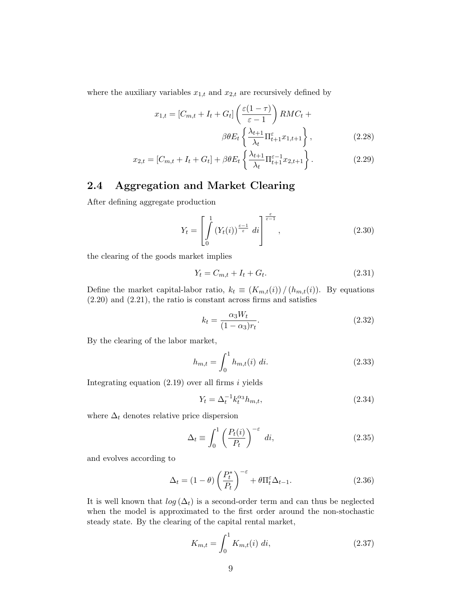where the auxiliary variables  $x_{1,t}$  and  $x_{2,t}$  are recursively defined by

$$
x_{1,t} = [C_{m,t} + I_t + G_t] \left(\frac{\varepsilon(1-\tau)}{\varepsilon - 1}\right) RM C_t +
$$
  

$$
\beta \theta E_t \left\{\frac{\lambda_{t+1}}{\lambda_t} \Pi_{t+1}^{\varepsilon} x_{1,t+1}\right\},
$$
 (2.28)

$$
x_{2,t} = [C_{m,t} + I_t + G_t] + \beta \theta E_t \left\{ \frac{\lambda_{t+1}}{\lambda_t} \Pi_{t+1}^{\varepsilon - 1} x_{2,t+1} \right\}.
$$
 (2.29)

### 2.4 Aggregation and Market Clearing

After defining aggregate production

$$
Y_t = \left[ \int_0^1 \left( Y_t(i) \right)^{\frac{\varepsilon - 1}{\varepsilon}} di \right]^{\frac{\varepsilon}{\varepsilon - 1}}, \tag{2.30}
$$

the clearing of the goods market implies

$$
Y_t = C_{m,t} + I_t + G_t.
$$
\n(2.31)

Define the market capital-labor ratio,  $k_t \equiv (K_{m,t}(i)) / (h_{m,t}(i))$ . By equations (2.20) and (2.21), the ratio is constant across firms and satisfies

$$
k_t = \frac{\alpha_3 W_t}{(1 - \alpha_3)r_t}.\tag{2.32}
$$

By the clearing of the labor market,

$$
h_{m,t} = \int_0^1 h_{m,t}(i) \, di. \tag{2.33}
$$

Integrating equation  $(2.19)$  over all firms i yields

$$
Y_t = \Delta_t^{-1} k_t^{\alpha_3} h_{m,t}, \tag{2.34}
$$

where  $\Delta_t$  denotes relative price dispersion

$$
\Delta_t \equiv \int_0^1 \left(\frac{P_t(i)}{P_t}\right)^{-\varepsilon} di,
$$
\n(2.35)

and evolves according to

$$
\Delta_t = (1 - \theta) \left(\frac{P_t^*}{P_t}\right)^{-\varepsilon} + \theta \Pi_t^{\varepsilon} \Delta_{t-1}.
$$
\n(2.36)

It is well known that  $log(\Delta_t)$  is a second-order term and can thus be neglected when the model is approximated to the first order around the non-stochastic steady state. By the clearing of the capital rental market,

$$
K_{m,t} = \int_0^1 K_{m,t}(i) \, di,\tag{2.37}
$$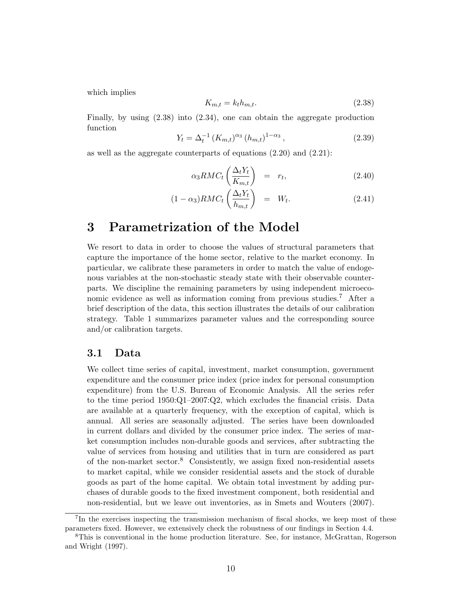which implies

$$
K_{m,t} = k_t h_{m,t}.\tag{2.38}
$$

Finally, by using (2.38) into (2.34), one can obtain the aggregate production function

$$
Y_t = \Delta_t^{-1} (K_{m,t})^{\alpha_3} (h_{m,t})^{1-\alpha_3}, \qquad (2.39)
$$

as well as the aggregate counterparts of equations (2.20) and (2.21):

$$
\alpha_3 RMC_t \left(\frac{\Delta_t Y_t}{K_{m,t}}\right) = r_t, \qquad (2.40)
$$

$$
(1 - \alpha_3)RMC_t\left(\frac{\Delta_t Y_t}{h_{m,t}}\right) = W_t.
$$
\n(2.41)

## 3 Parametrization of the Model

We resort to data in order to choose the values of structural parameters that capture the importance of the home sector, relative to the market economy. In particular, we calibrate these parameters in order to match the value of endogenous variables at the non-stochastic steady state with their observable counterparts. We discipline the remaining parameters by using independent microeconomic evidence as well as information coming from previous studies.<sup>7</sup> After a brief description of the data, this section illustrates the details of our calibration strategy. Table 1 summarizes parameter values and the corresponding source and/or calibration targets.

#### 3.1 Data

We collect time series of capital, investment, market consumption, government expenditure and the consumer price index (price index for personal consumption expenditure) from the U.S. Bureau of Economic Analysis. All the series refer to the time period 1950:Q1–2007:Q2, which excludes the financial crisis. Data are available at a quarterly frequency, with the exception of capital, which is annual. All series are seasonally adjusted. The series have been downloaded in current dollars and divided by the consumer price index. The series of market consumption includes non-durable goods and services, after subtracting the value of services from housing and utilities that in turn are considered as part of the non-market sector.<sup>8</sup> Consistently, we assign fixed non-residential assets to market capital, while we consider residential assets and the stock of durable goods as part of the home capital. We obtain total investment by adding purchases of durable goods to the fixed investment component, both residential and non-residential, but we leave out inventories, as in Smets and Wouters (2007).

<sup>&</sup>lt;sup>7</sup>In the exercises inspecting the transmission mechanism of fiscal shocks, we keep most of these parameters fixed. However, we extensively check the robustness of our findings in Section 4.4.

<sup>8</sup>This is conventional in the home production literature. See, for instance, McGrattan, Rogerson and Wright (1997).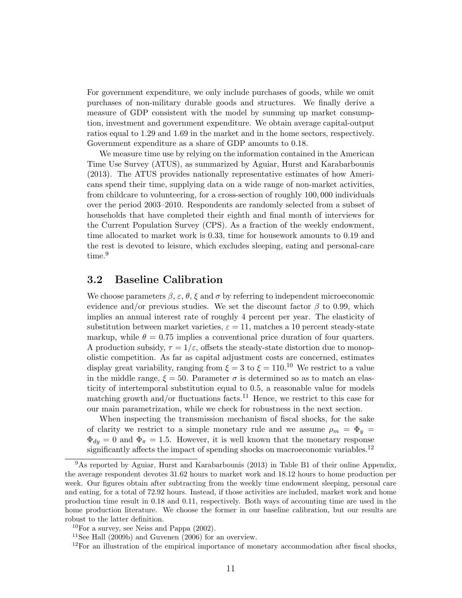For government expenditure, we only include purchases of goods, while we omit purchases of non-military durable goods and structures. We finally derive a measure of GDP consistent with the model by summing up market consumption, investment and government expenditure. We obtain average capital-output ratios equal to 1.29 and 1.69 in the market and in the home sectors, respectively. Government expenditure as a share of GDP amounts to 0.18.

We measure time use by relying on the information contained in the American Time Use Survey (ATUS), as summarized by Aguiar, Hurst and Karabarbounis (2013). The ATUS provides nationally representative estimates of how Americans spend their time, supplying data on a wide range of non-market activities, from childcare to volunteering, for a cross-section of roughly 100, 000 individuals over the period 2003–2010. Respondents are randomly selected from a subset of households that have completed their eighth and final month of interviews for the Current Population Survey (CPS). As a fraction of the weekly endowment, time allocated to market work is 0.33, time for housework amounts to 0.19 and the rest is devoted to leisure, which excludes sleeping, eating and personal-care time.<sup>9</sup>

#### 3.2 Baseline Calibration

We choose parameters  $\beta$ ,  $\varepsilon$ ,  $\theta$ ,  $\xi$  and  $\sigma$  by referring to independent microeconomic evidence and/or previous studies. We set the discount factor  $\beta$  to 0.99, which implies an annual interest rate of roughly 4 percent per year. The elasticity of substitution between market varieties,  $\varepsilon = 11$ , matches a 10 percent steady-state markup, while  $\theta = 0.75$  implies a conventional price duration of four quarters. A production subsidy,  $\tau = 1/\varepsilon$ , offsets the steady-state distortion due to monopolistic competition. As far as capital adjustment costs are concerned, estimates display great variability, ranging from  $\xi = 3$  to  $\xi = 110$ .<sup>10</sup> We restrict to a value in the middle range,  $\xi = 50$ . Parameter  $\sigma$  is determined so as to match an elasticity of intertemporal substitution equal to 0.5, a reasonable value for models matching growth and/or fluctuations facts.<sup>11</sup> Hence, we restrict to this case for our main parametrization, while we check for robustness in the next section.

When inspecting the transmission mechanism of fiscal shocks, for the sake of clarity we restrict to a simple monetary rule and we assume  $\rho_m = \Phi_y$  $\Phi_{dy} = 0$  and  $\Phi_{\pi} = 1.5$ . However, it is well known that the monetary response significantly affects the impact of spending shocks on macroeconomic variables.<sup>12</sup>

<sup>9</sup>As reported by Aguiar, Hurst and Karabarbounis (2013) in Table B1 of their online Appendix, the average respondent devotes 31.62 hours to market work and 18.12 hours to home production per week. Our figures obtain after subtracting from the weekly time endowment sleeping, personal care and eating, for a total of 72.92 hours. Instead, if those activities are included, market work and home production time result in 0.18 and 0.11, respectively. Both ways of accounting time are used in the home production literature. We choose the former in our baseline calibration, but our results are robust to the latter definition.

 $10$ For a survey, see Neiss and Pappa  $(2002)$ .

<sup>&</sup>lt;sup>11</sup>See Hall  $(2009b)$  and Guvenen  $(2006)$  for an overview.

 $12$ For an illustration of the empirical importance of monetary accommodation after fiscal shocks,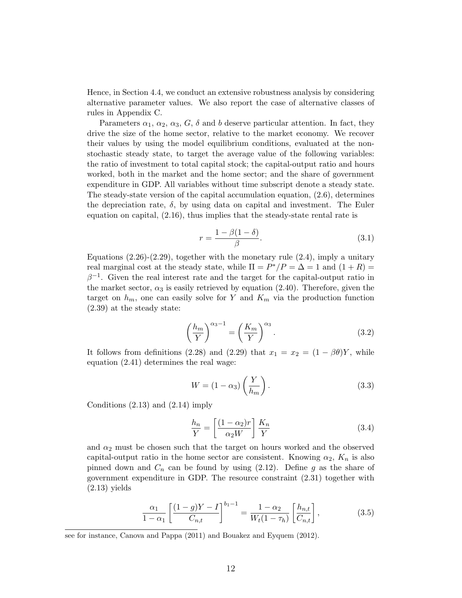Hence, in Section 4.4, we conduct an extensive robustness analysis by considering alternative parameter values. We also report the case of alternative classes of rules in Appendix C.

Parameters  $\alpha_1, \alpha_2, \alpha_3, G, \delta$  and b deserve particular attention. In fact, they drive the size of the home sector, relative to the market economy. We recover their values by using the model equilibrium conditions, evaluated at the nonstochastic steady state, to target the average value of the following variables: the ratio of investment to total capital stock; the capital-output ratio and hours worked, both in the market and the home sector; and the share of government expenditure in GDP. All variables without time subscript denote a steady state. The steady-state version of the capital accumulation equation, (2.6), determines the depreciation rate,  $\delta$ , by using data on capital and investment. The Euler equation on capital, (2.16), thus implies that the steady-state rental rate is

$$
r = \frac{1 - \beta(1 - \delta)}{\beta}.\tag{3.1}
$$

Equations  $(2.26)-(2.29)$ , together with the monetary rule  $(2.4)$ , imply a unitary real marginal cost at the steady state, while  $\Pi = P^*/P = \Delta = 1$  and  $(1+R) =$  $\beta^{-1}$ . Given the real interest rate and the target for the capital-output ratio in the market sector,  $\alpha_3$  is easily retrieved by equation (2.40). Therefore, given the target on  $h_m$ , one can easily solve for Y and  $K_m$  via the production function (2.39) at the steady state:

$$
\left(\frac{h_m}{Y}\right)^{\alpha_3 - 1} = \left(\frac{K_m}{Y}\right)^{\alpha_3}.\tag{3.2}
$$

It follows from definitions (2.28) and (2.29) that  $x_1 = x_2 = (1 - \beta \theta)Y$ , while equation (2.41) determines the real wage:

$$
W = (1 - \alpha_3) \left(\frac{Y}{h_m}\right). \tag{3.3}
$$

Conditions  $(2.13)$  and  $(2.14)$  imply

$$
\frac{h_n}{Y} = \left[\frac{(1 - \alpha_2)r}{\alpha_2 W}\right] \frac{K_n}{Y}
$$
\n(3.4)

and  $\alpha_2$  must be chosen such that the target on hours worked and the observed capital-output ratio in the home sector are consistent. Knowing  $\alpha_2$ ,  $K_n$  is also pinned down and  $C_n$  can be found by using (2.12). Define g as the share of government expenditure in GDP. The resource constraint (2.31) together with  $(2.13)$  yields

$$
\frac{\alpha_1}{1-\alpha_1} \left[ \frac{(1-g)Y - I}{C_{n,t}} \right]^{b_1 - 1} = \frac{1-\alpha_2}{W_t(1-\tau_h)} \left[ \frac{h_{n,t}}{C_{n,t}} \right],
$$
\n(3.5)

see for instance, Canova and Pappa (2011) and Bouakez and Eyquem (2012).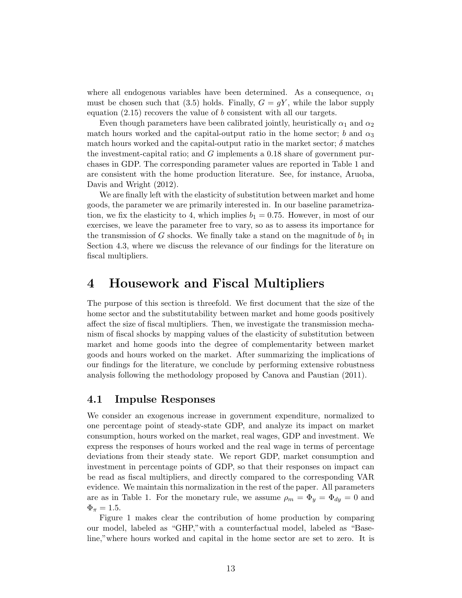where all endogenous variables have been determined. As a consequence,  $\alpha_1$ must be chosen such that (3.5) holds. Finally,  $G = qY$ , while the labor supply equation  $(2.15)$  recovers the value of b consistent with all our targets.

Even though parameters have been calibrated jointly, heuristically  $\alpha_1$  and  $\alpha_2$ match hours worked and the capital-output ratio in the home sector; b and  $\alpha_3$ match hours worked and the capital-output ratio in the market sector;  $\delta$  matches the investment-capital ratio; and G implements a 0.18 share of government purchases in GDP. The corresponding parameter values are reported in Table 1 and are consistent with the home production literature. See, for instance, Aruoba, Davis and Wright (2012).

We are finally left with the elasticity of substitution between market and home goods, the parameter we are primarily interested in. In our baseline parametrization, we fix the elasticity to 4, which implies  $b_1 = 0.75$ . However, in most of our exercises, we leave the parameter free to vary, so as to assess its importance for the transmission of G shocks. We finally take a stand on the magnitude of  $b_1$  in Section 4.3, where we discuss the relevance of our findings for the literature on fiscal multipliers.

## 4 Housework and Fiscal Multipliers

The purpose of this section is threefold. We first document that the size of the home sector and the substitutability between market and home goods positively affect the size of fiscal multipliers. Then, we investigate the transmission mechanism of fiscal shocks by mapping values of the elasticity of substitution between market and home goods into the degree of complementarity between market goods and hours worked on the market. After summarizing the implications of our findings for the literature, we conclude by performing extensive robustness analysis following the methodology proposed by Canova and Paustian (2011).

#### 4.1 Impulse Responses

We consider an exogenous increase in government expenditure, normalized to one percentage point of steady-state GDP, and analyze its impact on market consumption, hours worked on the market, real wages, GDP and investment. We express the responses of hours worked and the real wage in terms of percentage deviations from their steady state. We report GDP, market consumption and investment in percentage points of GDP, so that their responses on impact can be read as fiscal multipliers, and directly compared to the corresponding VAR evidence. We maintain this normalization in the rest of the paper. All parameters are as in Table 1. For the monetary rule, we assume  $\rho_m = \Phi_y = \Phi_{dy} = 0$  and  $\Phi_{\pi} = 1.5.$ 

Figure 1 makes clear the contribution of home production by comparing our model, labeled as "GHP,"with a counterfactual model, labeled as "Baseline,"where hours worked and capital in the home sector are set to zero. It is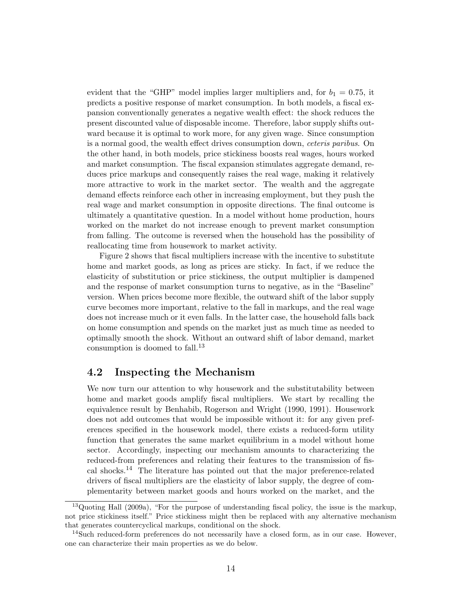evident that the "GHP" model implies larger multipliers and, for  $b_1 = 0.75$ , it predicts a positive response of market consumption. In both models, a fiscal expansion conventionally generates a negative wealth effect: the shock reduces the present discounted value of disposable income. Therefore, labor supply shifts outward because it is optimal to work more, for any given wage. Since consumption is a normal good, the wealth effect drives consumption down, ceteris paribus. On the other hand, in both models, price stickiness boosts real wages, hours worked and market consumption. The fiscal expansion stimulates aggregate demand, reduces price markups and consequently raises the real wage, making it relatively more attractive to work in the market sector. The wealth and the aggregate demand effects reinforce each other in increasing employment, but they push the real wage and market consumption in opposite directions. The final outcome is ultimately a quantitative question. In a model without home production, hours worked on the market do not increase enough to prevent market consumption from falling. The outcome is reversed when the household has the possibility of reallocating time from housework to market activity.

Figure 2 shows that fiscal multipliers increase with the incentive to substitute home and market goods, as long as prices are sticky. In fact, if we reduce the elasticity of substitution or price stickiness, the output multiplier is dampened and the response of market consumption turns to negative, as in the "Baseline" version. When prices become more flexible, the outward shift of the labor supply curve becomes more important, relative to the fall in markups, and the real wage does not increase much or it even falls. In the latter case, the household falls back on home consumption and spends on the market just as much time as needed to optimally smooth the shock. Without an outward shift of labor demand, market consumption is doomed to fall.<sup>13</sup>

#### 4.2 Inspecting the Mechanism

We now turn our attention to why housework and the substitutability between home and market goods amplify fiscal multipliers. We start by recalling the equivalence result by Benhabib, Rogerson and Wright (1990, 1991). Housework does not add outcomes that would be impossible without it: for any given preferences specified in the housework model, there exists a reduced-form utility function that generates the same market equilibrium in a model without home sector. Accordingly, inspecting our mechanism amounts to characterizing the reduced-from preferences and relating their features to the transmission of fiscal shocks.<sup>14</sup> The literature has pointed out that the major preference-related drivers of fiscal multipliers are the elasticity of labor supply, the degree of complementarity between market goods and hours worked on the market, and the

<sup>&</sup>lt;sup>13</sup>Quoting Hall (2009a), "For the purpose of understanding fiscal policy, the issue is the markup, not price stickiness itself." Price stickiness might then be replaced with any alternative mechanism that generates countercyclical markups, conditional on the shock.

 $14$ Such reduced-form preferences do not necessarily have a closed form, as in our case. However, one can characterize their main properties as we do below.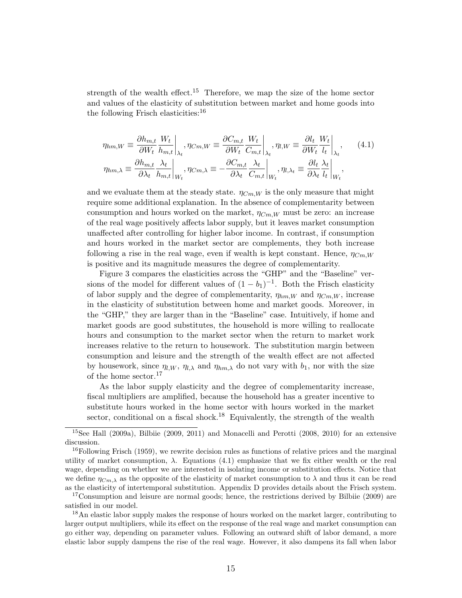strength of the wealth effect.<sup>15</sup> Therefore, we map the size of the home sector and values of the elasticity of substitution between market and home goods into the following Frisch elasticities:<sup>16</sup>

$$
\eta_{hm,W} \equiv \frac{\partial h_{m,t}}{\partial W_t} \frac{W_t}{h_{m,t}} \bigg|_{\lambda_t}, \eta_{Cm,W} \equiv \frac{\partial C_{m,t}}{\partial W_t} \frac{W_t}{C_{m,t}} \bigg|_{\lambda_t}, \eta_{l,W} \equiv \frac{\partial l_t}{\partial W_t} \frac{W_t}{l_t} \bigg|_{\lambda_t},
$$
\n
$$
\eta_{hm,\lambda} \equiv \frac{\partial h_{m,t}}{\partial \lambda_t} \frac{\lambda_t}{h_{m,t}} \bigg|_{W_t}, \eta_{Cm,\lambda} \equiv -\frac{\partial C_{m,t}}{\partial \lambda_t} \frac{\lambda_t}{C_{m,t}} \bigg|_{W_t}, \eta_{l,\lambda_t} \equiv \frac{\partial l_t}{\partial \lambda_t} \frac{\lambda_t}{l_t} \bigg|_{W_t},
$$
\n(4.1)

and we evaluate them at the steady state.  $\eta_{Cm,W}$  is the only measure that might require some additional explanation. In the absence of complementarity between consumption and hours worked on the market,  $\eta_{Cm,W}$  must be zero: an increase of the real wage positively affects labor supply, but it leaves market consumption unaffected after controlling for higher labor income. In contrast, if consumption and hours worked in the market sector are complements, they both increase following a rise in the real wage, even if wealth is kept constant. Hence,  $\eta_{Cm,W}$ is positive and its magnitude measures the degree of complementarity.

Figure 3 compares the elasticities across the "GHP" and the "Baseline" versions of the model for different values of  $(1 - b_1)^{-1}$ . Both the Frisch elasticity of labor supply and the degree of complementarity,  $\eta_{hm,W}$  and  $\eta_{Cm,W}$ , increase in the elasticity of substitution between home and market goods. Moreover, in the "GHP," they are larger than in the "Baseline" case. Intuitively, if home and market goods are good substitutes, the household is more willing to reallocate hours and consumption to the market sector when the return to market work increases relative to the return to housework. The substitution margin between consumption and leisure and the strength of the wealth effect are not affected by housework, since  $\eta_{l,W}, \eta_{l,\lambda}$  and  $\eta_{hm,\lambda}$  do not vary with  $b_1$ , nor with the size of the home sector.<sup>17</sup>

As the labor supply elasticity and the degree of complementarity increase, fiscal multipliers are amplified, because the household has a greater incentive to substitute hours worked in the home sector with hours worked in the market sector, conditional on a fiscal shock.<sup>18</sup> Equivalently, the strength of the wealth

<sup>17</sup>Consumption and leisure are normal goods; hence, the restrictions derived by Bilbiie (2009) are satisfied in our model.

<sup>18</sup>An elastic labor supply makes the response of hours worked on the market larger, contributing to larger output multipliers, while its effect on the response of the real wage and market consumption can go either way, depending on parameter values. Following an outward shift of labor demand, a more elastic labor supply dampens the rise of the real wage. However, it also dampens its fall when labor

<sup>15</sup>See Hall (2009a), Bilbiie (2009, 2011) and Monacelli and Perotti (2008, 2010) for an extensive discussion.

 $^{16}$ Following Frisch (1959), we rewrite decision rules as functions of relative prices and the marginal utility of market consumption,  $\lambda$ . Equations (4.1) emphasize that we fix either wealth or the real wage, depending on whether we are interested in isolating income or substitution effects. Notice that we define  $\eta_{Cm,\lambda}$  as the opposite of the elasticity of market consumption to  $\lambda$  and thus it can be read as the elasticity of intertemporal substitution. Appendix D provides details about the Frisch system.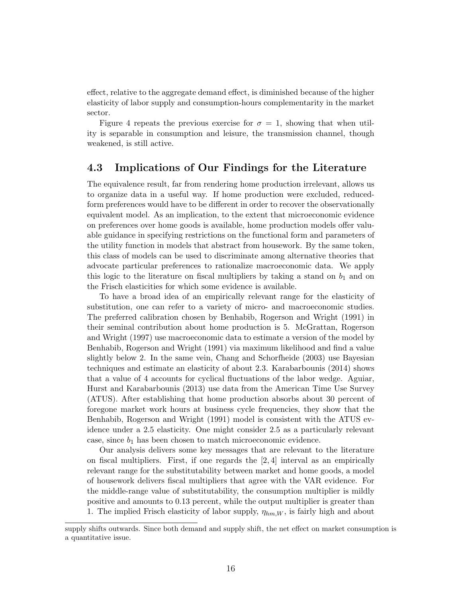effect, relative to the aggregate demand effect, is diminished because of the higher elasticity of labor supply and consumption-hours complementarity in the market sector.

Figure 4 repeats the previous exercise for  $\sigma = 1$ , showing that when utility is separable in consumption and leisure, the transmission channel, though weakened, is still active.

#### 4.3 Implications of Our Findings for the Literature

The equivalence result, far from rendering home production irrelevant, allows us to organize data in a useful way. If home production were excluded, reducedform preferences would have to be different in order to recover the observationally equivalent model. As an implication, to the extent that microeconomic evidence on preferences over home goods is available, home production models offer valuable guidance in specifying restrictions on the functional form and parameters of the utility function in models that abstract from housework. By the same token, this class of models can be used to discriminate among alternative theories that advocate particular preferences to rationalize macroeconomic data. We apply this logic to the literature on fiscal multipliers by taking a stand on  $b_1$  and on the Frisch elasticities for which some evidence is available.

To have a broad idea of an empirically relevant range for the elasticity of substitution, one can refer to a variety of micro- and macroeconomic studies. The preferred calibration chosen by Benhabib, Rogerson and Wright (1991) in their seminal contribution about home production is 5. McGrattan, Rogerson and Wright (1997) use macroeconomic data to estimate a version of the model by Benhabib, Rogerson and Wright (1991) via maximum likelihood and find a value slightly below 2. In the same vein, Chang and Schorfheide (2003) use Bayesian techniques and estimate an elasticity of about 2.3. Karabarbounis (2014) shows that a value of 4 accounts for cyclical fluctuations of the labor wedge. Aguiar, Hurst and Karabarbounis (2013) use data from the American Time Use Survey (ATUS). After establishing that home production absorbs about 30 percent of foregone market work hours at business cycle frequencies, they show that the Benhabib, Rogerson and Wright (1991) model is consistent with the ATUS evidence under a 2.5 elasticity. One might consider 2.5 as a particularly relevant case, since  $b_1$  has been chosen to match microeconomic evidence.

Our analysis delivers some key messages that are relevant to the literature on fiscal multipliers. First, if one regards the  $[2, 4]$  interval as an empirically relevant range for the substitutability between market and home goods, a model of housework delivers fiscal multipliers that agree with the VAR evidence. For the middle-range value of substitutability, the consumption multiplier is mildly positive and amounts to 0.13 percent, while the output multiplier is greater than 1. The implied Frisch elasticity of labor supply,  $\eta_{hm,W}$ , is fairly high and about

supply shifts outwards. Since both demand and supply shift, the net effect on market consumption is a quantitative issue.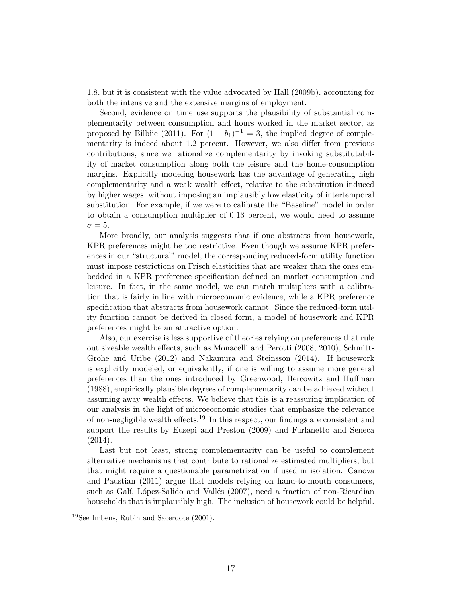1.8, but it is consistent with the value advocated by Hall (2009b), accounting for both the intensive and the extensive margins of employment.

Second, evidence on time use supports the plausibility of substantial complementarity between consumption and hours worked in the market sector, as proposed by Bilbiie (2011). For  $(1 - b_1)^{-1} = 3$ , the implied degree of complementarity is indeed about 1.2 percent. However, we also differ from previous contributions, since we rationalize complementarity by invoking substitutability of market consumption along both the leisure and the home-consumption margins. Explicitly modeling housework has the advantage of generating high complementarity and a weak wealth effect, relative to the substitution induced by higher wages, without imposing an implausibly low elasticity of intertemporal substitution. For example, if we were to calibrate the "Baseline" model in order to obtain a consumption multiplier of 0.13 percent, we would need to assume  $\sigma = 5$ .

More broadly, our analysis suggests that if one abstracts from housework, KPR preferences might be too restrictive. Even though we assume KPR preferences in our "structural" model, the corresponding reduced-form utility function must impose restrictions on Frisch elasticities that are weaker than the ones embedded in a KPR preference specification defined on market consumption and leisure. In fact, in the same model, we can match multipliers with a calibration that is fairly in line with microeconomic evidence, while a KPR preference specification that abstracts from housework cannot. Since the reduced-form utility function cannot be derived in closed form, a model of housework and KPR preferences might be an attractive option.

Also, our exercise is less supportive of theories relying on preferences that rule out sizeable wealth effects, such as Monacelli and Perotti (2008, 2010), Schmitt-Grohé and Uribe  $(2012)$  and Nakamura and Steinsson  $(2014)$ . If housework is explicitly modeled, or equivalently, if one is willing to assume more general preferences than the ones introduced by Greenwood, Hercowitz and Huffman (1988), empirically plausible degrees of complementarity can be achieved without assuming away wealth effects. We believe that this is a reassuring implication of our analysis in the light of microeconomic studies that emphasize the relevance of non-negligible wealth effects.<sup>19</sup> In this respect, our findings are consistent and support the results by Eusepi and Preston (2009) and Furlanetto and Seneca (2014).

Last but not least, strong complementarity can be useful to complement alternative mechanisms that contribute to rationalize estimated multipliers, but that might require a questionable parametrization if used in isolation. Canova and Paustian (2011) argue that models relying on hand-to-mouth consumers, such as Galí, López-Salido and Vallés (2007), need a fraction of non-Ricardian households that is implausibly high. The inclusion of housework could be helpful.

<sup>19</sup>See Imbens, Rubin and Sacerdote (2001).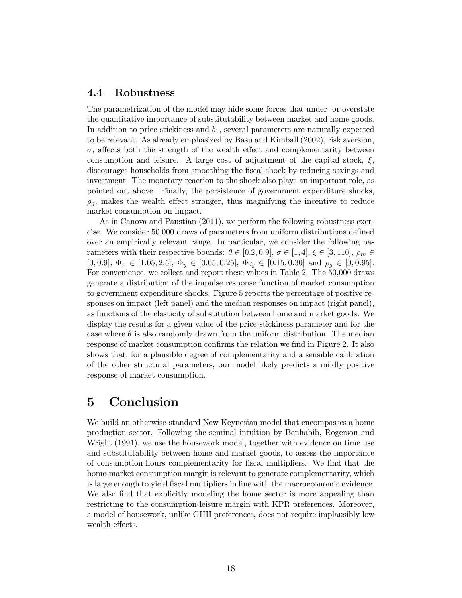#### 4.4 Robustness

The parametrization of the model may hide some forces that under- or overstate the quantitative importance of substitutability between market and home goods. In addition to price stickiness and  $b_1$ , several parameters are naturally expected to be relevant. As already emphasized by Basu and Kimball (2002), risk aversion,  $\sigma$ , affects both the strength of the wealth effect and complementarity between consumption and leisure. A large cost of adjustment of the capital stock,  $\xi$ , discourages households from smoothing the fiscal shock by reducing savings and investment. The monetary reaction to the shock also plays an important role, as pointed out above. Finally, the persistence of government expenditure shocks,  $\rho_q$ , makes the wealth effect stronger, thus magnifying the incentive to reduce market consumption on impact.

As in Canova and Paustian (2011), we perform the following robustness exercise. We consider 50,000 draws of parameters from uniform distributions defined over an empirically relevant range. In particular, we consider the following parameters with their respective bounds:  $\theta \in [0.2, 0.9], \sigma \in [1, 4], \xi \in [3, 110], \rho_m \in$ [0, 0.9],  $\Phi_{\pi} \in [1.05, 2.5], \Phi_{y} \in [0.05, 0.25], \Phi_{dy} \in [0.15, 0.30]$  and  $\rho_{g} \in [0, 0.95]$ . For convenience, we collect and report these values in Table 2. The 50,000 draws generate a distribution of the impulse response function of market consumption to government expenditure shocks. Figure 5 reports the percentage of positive responses on impact (left panel) and the median responses on impact (right panel), as functions of the elasticity of substitution between home and market goods. We display the results for a given value of the price-stickiness parameter and for the case where  $\theta$  is also randomly drawn from the uniform distribution. The median response of market consumption confirms the relation we find in Figure 2. It also shows that, for a plausible degree of complementarity and a sensible calibration of the other structural parameters, our model likely predicts a mildly positive response of market consumption.

## 5 Conclusion

We build an otherwise-standard New Keynesian model that encompasses a home production sector. Following the seminal intuition by Benhabib, Rogerson and Wright (1991), we use the housework model, together with evidence on time use and substitutability between home and market goods, to assess the importance of consumption-hours complementarity for fiscal multipliers. We find that the home-market consumption margin is relevant to generate complementarity, which is large enough to yield fiscal multipliers in line with the macroeconomic evidence. We also find that explicitly modeling the home sector is more appealing than restricting to the consumption-leisure margin with KPR preferences. Moreover, a model of housework, unlike GHH preferences, does not require implausibly low wealth effects.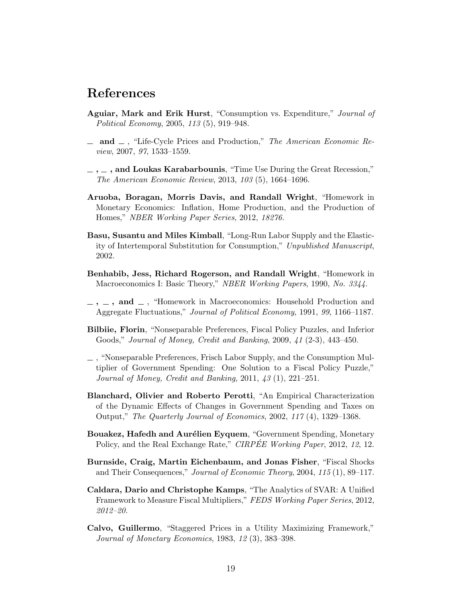## References

- Aguiar, Mark and Erik Hurst, "Consumption vs. Expenditure," Journal of Political Economy, 2005, 113 (5), 919–948.
- $\Delta$  and  $\Delta$ , "Life-Cycle Prices and Production," The American Economic Review, 2007, 97, 1533–1559.
- $\ldots$ , and Loukas Karabarbounis, "Time Use During the Great Recession," The American Economic Review, 2013, 103 (5), 1664–1696.
- Aruoba, Boragan, Morris Davis, and Randall Wright, "Homework in Monetary Economics: Inflation, Home Production, and the Production of Homes," NBER Working Paper Series, 2012, 18276.
- Basu, Susantu and Miles Kimball, "Long-Run Labor Supply and the Elasticity of Intertemporal Substitution for Consumption," Unpublished Manuscript, 2002.
- Benhabib, Jess, Richard Rogerson, and Randall Wright, "Homework in Macroeconomics I: Basic Theory," NBER Working Papers, 1990, No. 3344.
- $\ldots$ ,  $\ldots$ , and  $\ldots$ , "Homework in Macroeconomics: Household Production and Aggregate Fluctuations," Journal of Political Economy, 1991, 99, 1166–1187.
- Bilbiie, Florin, "Nonseparable Preferences, Fiscal Policy Puzzles, and Inferior Goods," Journal of Money, Credit and Banking, 2009, 41 (2-3), 443–450.
- $\overline{\phantom{a}}$ , "Nonseparable Preferences, Frisch Labor Supply, and the Consumption Multiplier of Government Spending: One Solution to a Fiscal Policy Puzzle," Journal of Money, Credit and Banking, 2011, 43 (1), 221–251.
- Blanchard, Olivier and Roberto Perotti, "An Empirical Characterization of the Dynamic Effects of Changes in Government Spending and Taxes on Output," The Quarterly Journal of Economics, 2002, 117 (4), 1329–1368.
- Bouakez, Hafedh and Aurélien Eyquem, "Government Spending, Monetary Policy, and the Real Exchange Rate," CIRPEE Working Paper, 2012, 12, 12.
- Burnside, Craig, Martin Eichenbaum, and Jonas Fisher, "Fiscal Shocks and Their Consequences," Journal of Economic Theory, 2004, 115 (1), 89–117.
- Caldara, Dario and Christophe Kamps, "The Analytics of SVAR: A Unified Framework to Measure Fiscal Multipliers," FEDS Working Paper Series, 2012, 2012–20.
- Calvo, Guillermo, "Staggered Prices in a Utility Maximizing Framework," Journal of Monetary Economics, 1983, 12 (3), 383–398.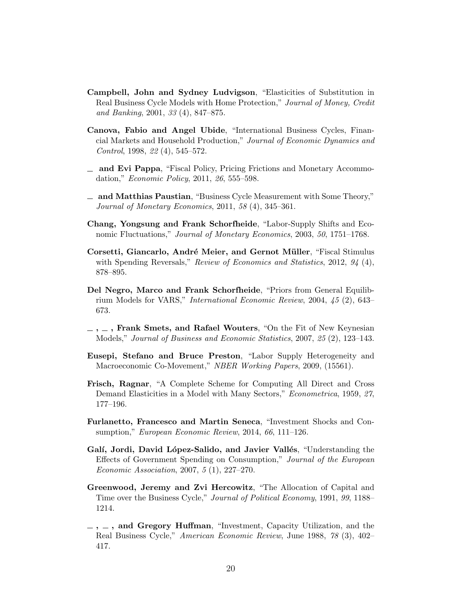- Campbell, John and Sydney Ludvigson, "Elasticities of Substitution in Real Business Cycle Models with Home Protection," Journal of Money, Credit and Banking, 2001, 33 (4), 847–875.
- Canova, Fabio and Angel Ubide, "International Business Cycles, Financial Markets and Household Production," Journal of Economic Dynamics and Control, 1998, 22 (4), 545–572.
- and Evi Pappa, "Fiscal Policy, Pricing Frictions and Monetary Accommodation," *Economic Policy*, 2011, 26, 555–598.
- and Matthias Paustian, "Business Cycle Measurement with Some Theory," Journal of Monetary Economics, 2011, 58 (4), 345–361.
- Chang, Yongsung and Frank Schorfheide, "Labor-Supply Shifts and Economic Fluctuations," Journal of Monetary Economics, 2003, 50, 1751–1768.
- Corsetti, Giancarlo, André Meier, and Gernot Müller, "Fiscal Stimulus with Spending Reversals," Review of Economics and Statistics, 2012, 94 (4), 878–895.
- Del Negro, Marco and Frank Schorfheide, "Priors from General Equilibrium Models for VARS," International Economic Review, 2004, 45 (2), 643– 673.
- $\ldots$ , Frank Smets, and Rafael Wouters, "On the Fit of New Keynesian Models," Journal of Business and Economic Statistics, 2007, 25 (2), 123–143.
- Eusepi, Stefano and Bruce Preston, "Labor Supply Heterogeneity and Macroeconomic Co-Movement," NBER Working Papers, 2009, (15561).
- Frisch, Ragnar, "A Complete Scheme for Computing All Direct and Cross Demand Elasticities in a Model with Many Sectors," Econometrica, 1959, 27, 177–196.
- Furlanetto, Francesco and Martin Seneca, "Investment Shocks and Consumption," European Economic Review, 2014, 66, 111-126.
- Galí, Jordi, David López-Salido, and Javier Vallés, "Understanding the Effects of Government Spending on Consumption," Journal of the European Economic Association, 2007, 5 (1), 227–270.
- Greenwood, Jeremy and Zvi Hercowitz, "The Allocation of Capital and Time over the Business Cycle," Journal of Political Economy, 1991, 99, 1188– 1214.
- $-$ ,  $-$ , and Gregory Huffman, "Investment, Capacity Utilization, and the Real Business Cycle," American Economic Review, June 1988, 78 (3), 402– 417.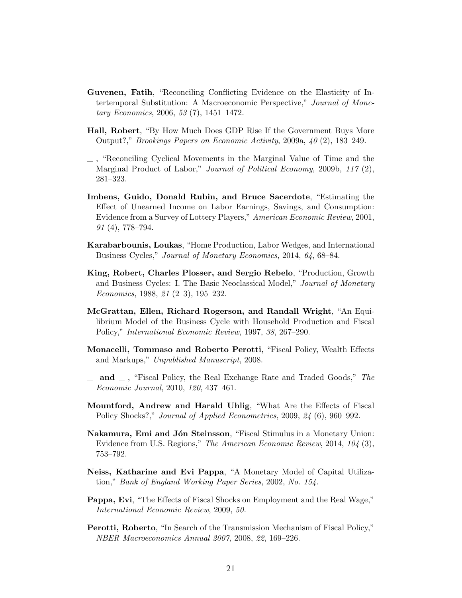- Guvenen, Fatih, "Reconciling Conflicting Evidence on the Elasticity of Intertemporal Substitution: A Macroeconomic Perspective," Journal of Monetary Economics, 2006, 53 (7), 1451–1472.
- Hall, Robert, "By How Much Does GDP Rise If the Government Buys More Output?," Brookings Papers on Economic Activity, 2009a, 40 (2), 183–249.
- $\overline{\phantom{a}}$ , "Reconciling Cyclical Movements in the Marginal Value of Time and the Marginal Product of Labor," Journal of Political Economy, 2009b, 117 (2), 281–323.
- Imbens, Guido, Donald Rubin, and Bruce Sacerdote, "Estimating the Effect of Unearned Income on Labor Earnings, Savings, and Consumption: Evidence from a Survey of Lottery Players," American Economic Review, 2001, 91 (4), 778–794.
- Karabarbounis, Loukas, "Home Production, Labor Wedges, and International Business Cycles," Journal of Monetary Economics, 2014, 64, 68–84.
- King, Robert, Charles Plosser, and Sergio Rebelo, "Production, Growth and Business Cycles: I. The Basic Neoclassical Model," Journal of Monetary Economics, 1988, 21 (2–3), 195–232.
- McGrattan, Ellen, Richard Rogerson, and Randall Wright, "An Equilibrium Model of the Business Cycle with Household Production and Fiscal Policy," International Economic Review, 1997, 38, 267–290.
- Monacelli, Tommaso and Roberto Perotti, "Fiscal Policy, Wealth Effects and Markups," Unpublished Manuscript, 2008.
- $\equiv$  and  $\equiv$ , "Fiscal Policy, the Real Exchange Rate and Traded Goods," The Economic Journal, 2010, 120, 437–461.
- Mountford, Andrew and Harald Uhlig, "What Are the Effects of Fiscal Policy Shocks?," *Journal of Applied Econometrics*, 2009, 24 (6), 960–992.
- Nakamura, Emi and Jón Steinsson, "Fiscal Stimulus in a Monetary Union: Evidence from U.S. Regions," The American Economic Review, 2014, 104 (3), 753–792.
- Neiss, Katharine and Evi Pappa, "A Monetary Model of Capital Utilization," Bank of England Working Paper Series, 2002, No. 154.
- Pappa, Evi, "The Effects of Fiscal Shocks on Employment and the Real Wage," International Economic Review, 2009, 50.
- Perotti, Roberto, "In Search of the Transmission Mechanism of Fiscal Policy," NBER Macroeconomics Annual 2007, 2008, 22, 169–226.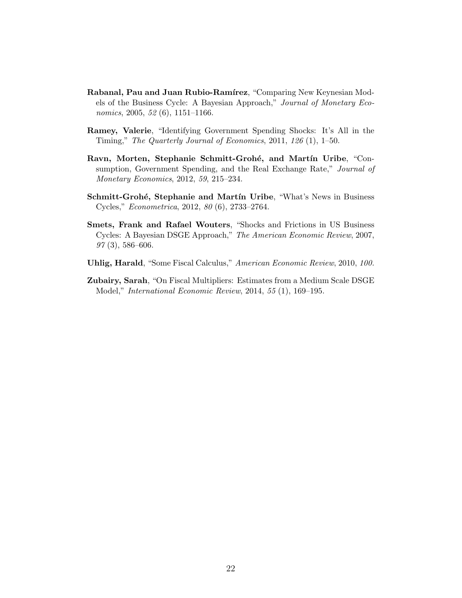- Rabanal, Pau and Juan Rubio-Ramírez, "Comparing New Keynesian Models of the Business Cycle: A Bayesian Approach," Journal of Monetary Economics, 2005, 52 (6), 1151–1166.
- Ramey, Valerie, "Identifying Government Spending Shocks: It's All in the Timing," The Quarterly Journal of Economics, 2011, 126 (1), 1–50.
- Ravn, Morten, Stephanie Schmitt-Grohé, and Martín Uribe, "Consumption, Government Spending, and the Real Exchange Rate," Journal of Monetary Economics, 2012, 59, 215–234.
- Schmitt-Grohé, Stephanie and Martín Uribe, "What's News in Business Cycles," Econometrica, 2012, 80 (6), 2733–2764.
- Smets, Frank and Rafael Wouters, "Shocks and Frictions in US Business Cycles: A Bayesian DSGE Approach," The American Economic Review, 2007,  $97(3)$ , 586–606.
- Uhlig, Harald, "Some Fiscal Calculus," American Economic Review, 2010, 100.
- Zubairy, Sarah, "On Fiscal Multipliers: Estimates from a Medium Scale DSGE Model," International Economic Review, 2014, 55 (1), 169–195.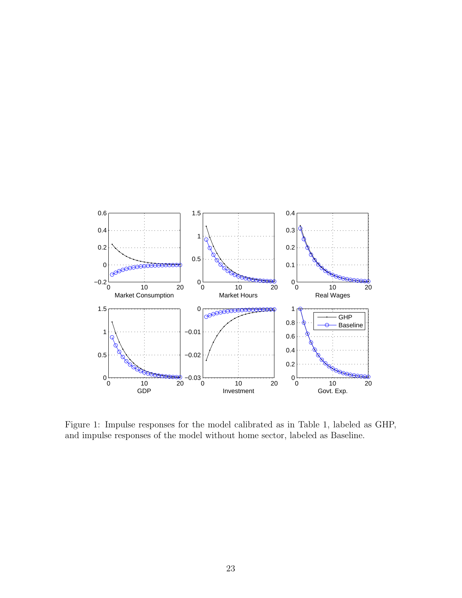

Figure 1: Impulse responses for the model calibrated as in Table 1, labeled as GHP, and impulse responses of the model without home sector, labeled as Baseline.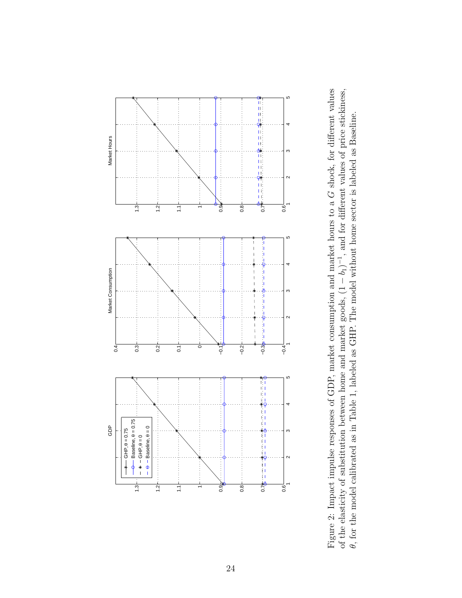

Figure 2: Impact impulse responses of GDP, market consumption and market hours to a Figure 2: Impact impulse responses of GDP, market consumption and market hours to a G shock, for different values shock, for different values of the elasticity of substitution between home and market goods, (1 of the elasticity of substitution between home and market goods,  $(1 - b_1)^{-1}$ , and for different values of price stickiness,  $\theta$ , for the model calibrated as in Table 1, labeled as GHP. The model without home sector is l −1, and for different values of price stickiness, θ, for the model calibrated as in Table 1, labeled as GHP. The model without home sector is labeled as Baseline.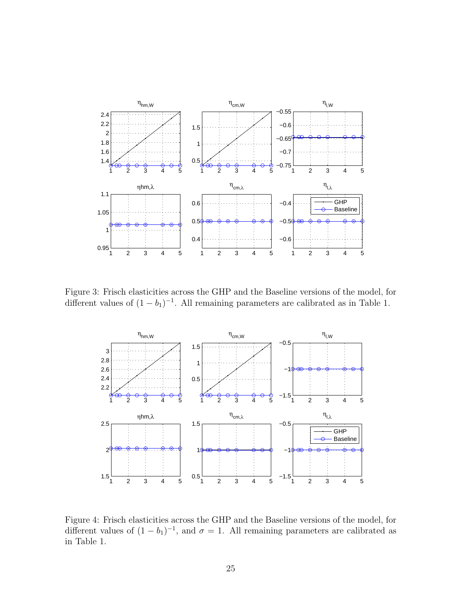

Figure 3: Frisch elasticities across the GHP and the Baseline versions of the model, for different values of  $(1 - b_1)^{-1}$ . All remaining parameters are calibrated as in Table 1.



Figure 4: Frisch elasticities across the GHP and the Baseline versions of the model, for different values of  $(1 - b_1)^{-1}$ , and  $\sigma = 1$ . All remaining parameters are calibrated as in Table 1.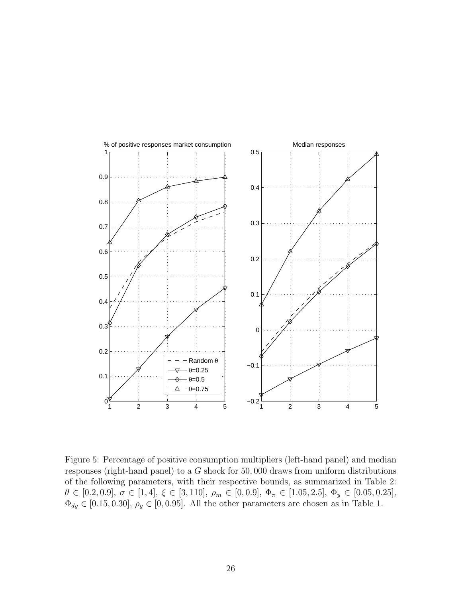

Figure 5: Percentage of positive consumption multipliers (left-hand panel) and median responses (right-hand panel) to a G shock for 50, 000 draws from uniform distributions of the following parameters, with their respective bounds, as summarized in Table 2:  $\theta \in [0.2, 0.9], \sigma \in [1, 4], \xi \in [3, 110], \rho_m \in [0, 0.9], \Phi_{\pi} \in [1.05, 2.5], \Phi_y \in [0.05, 0.25],$  $\Phi_{dy} \in [0.15, 0.30], \rho_g \in [0, 0.95]$ . All the other parameters are chosen as in Table 1.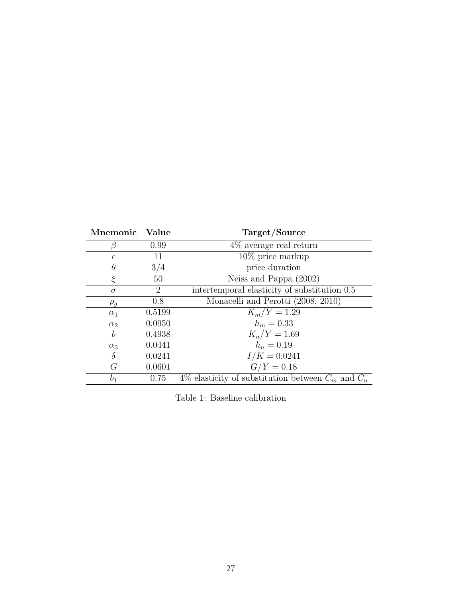| Mnemonic       | Value  | Target/Source                                          |
|----------------|--------|--------------------------------------------------------|
|                | 0.99   | $4\%$ average real return                              |
| $\epsilon$     | 11     | $10\%$ price markup                                    |
| $\theta$       | 3/4    | price duration                                         |
| ε              | 50     | Neiss and Pappa (2002)                                 |
| $\sigma$       | 2      | intertemporal elasticity of substitution 0.5           |
| $\rho_g$       | 0.8    | Monacelli and Perotti (2008, 2010)                     |
| $\alpha_1$     | 0.5199 | $K_m/Y = 1.29$                                         |
| $\alpha_2$     | 0.0950 | $h_m = 0.33$                                           |
| b              | 0.4938 | $K_n/Y = 1.69$                                         |
| $\alpha_3$     | 0.0441 | $h_n = 0.19$                                           |
| $\delta$       | 0.0241 | $I/K = 0.0241$                                         |
| G              | 0.0601 | $G/Y = 0.18$                                           |
| b <sub>1</sub> | 0.75   | 4\% elasticity of substitution between $C_m$ and $C_n$ |

Table 1: Baseline calibration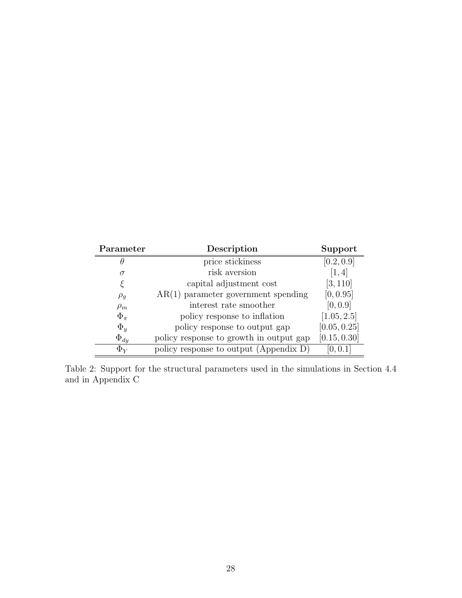| Parameter    | Description                             | Support      |
|--------------|-----------------------------------------|--------------|
| θ            | price stickiness                        | [0.2, 0.9]   |
| $\sigma$     | risk aversion                           | [1, 4]       |
| ξ            | capital adjustment cost                 | [3, 110]     |
| $\rho_g$     | $AR(1)$ parameter government spending   | [0, 0.95]    |
| $\rho_m$     | interest rate smoother                  | [0, 0.9]     |
| $\Phi_{\pi}$ | policy response to inflation            | [1.05, 2.5]  |
| $\Phi_y$     | policy response to output gap           | [0.05, 0.25] |
| $\Phi_{dy}$  | policy response to growth in output gap | [0.15, 0.30] |
| $\Phi_{Y}$   | policy response to output (Appendix D)  | [0, 0.1]     |

Table 2: Support for the structural parameters used in the simulations in Section 4.4 and in Appendix C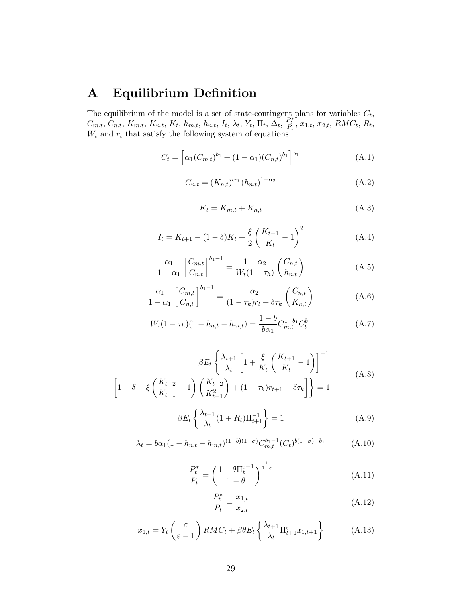## A Equilibrium Definition

The equilibrium of the model is a set of state-contingent plans for variables  $C_t$ ,  $C_{m,t}, C_{n,t}, K_{m,t}, K_{n,t}, K_t, h_{m,t}, h_{n,t}, I_t, \lambda_t, Y_t, \Pi_t, \Delta_t, \frac{P_t^{*}}{P_t}, x_{1,t}, x_{2,t}, RMC_t, R_t$  $W_t$  and  $r_t$  that satisfy the following system of equations

$$
C_t = \left[ \alpha_1 (C_{m,t})^{b_1} + (1 - \alpha_1) (C_{n,t})^{b_1} \right]^{\frac{1}{b_1}}
$$
(A.1)

$$
C_{n,t} = (K_{n,t})^{\alpha_2} (h_{n,t})^{1-\alpha_2}
$$
 (A.2)

$$
K_t = K_{m,t} + K_{n,t} \tag{A.3}
$$

$$
I_t = K_{t+1} - (1 - \delta)K_t + \frac{\xi}{2} \left(\frac{K_{t+1}}{K_t} - 1\right)^2 \tag{A.4}
$$

$$
\frac{\alpha_1}{1 - \alpha_1} \left[ \frac{C_{m,t}}{C_{n,t}} \right]^{b_1 - 1} = \frac{1 - \alpha_2}{W_t (1 - \tau_h)} \left( \frac{C_{n,t}}{h_{n,t}} \right)
$$
(A.5)

$$
\frac{\alpha_1}{1-\alpha_1} \left[ \frac{C_{m,t}}{C_{n,t}} \right]^{b_1-1} = \frac{\alpha_2}{(1-\tau_k)r_t + \delta\tau_k} \left( \frac{C_{n,t}}{K_{n,t}} \right) \tag{A.6}
$$

$$
W_t(1 - \tau_h)(1 - h_{n,t} - h_{m,t}) = \frac{1 - b}{b\alpha_1} C_{m,t}^{1 - b_1} C_t^{b_1}
$$
 (A.7)

$$
\beta E_t \left\{ \frac{\lambda_{t+1}}{\lambda_t} \left[ 1 + \frac{\xi}{K_t} \left( \frac{K_{t+1}}{K_t} - 1 \right) \right]^{-1} \right\}
$$
\n
$$
\left[ 1 - \delta + \xi \left( \frac{K_{t+2}}{K_{t+1}} - 1 \right) \left( \frac{K_{t+2}}{K_{t+1}^2} \right) + (1 - \tau_k) r_{t+1} + \delta \tau_k \right] \right\} = 1
$$
\n(A.8)

$$
\beta E_t \left\{ \frac{\lambda_{t+1}}{\lambda_t} (1 + R_t) \Pi_{t+1}^{-1} \right\} = 1 \tag{A.9}
$$

$$
\lambda_t = b\alpha_1 (1 - h_{n,t} - h_{m,t})^{(1-b)(1-\sigma)} C_{m,t}^{b_1-1} (C_t)^{b(1-\sigma)-b_1}
$$
 (A.10)

$$
\frac{P_t^*}{P_t} = \left(\frac{1 - \theta \Pi_t^{\varepsilon - 1}}{1 - \theta}\right)^{\frac{1}{1 - \varepsilon}}
$$
(A.11)

$$
\frac{P_t^*}{P_t} = \frac{x_{1,t}}{x_{2,t}}\tag{A.12}
$$

$$
x_{1,t} = Y_t \left(\frac{\varepsilon}{\varepsilon - 1}\right) RM C_t + \beta \theta E_t \left\{\frac{\lambda_{t+1}}{\lambda_t} \Pi_{t+1}^{\varepsilon} x_{1,t+1}\right\} \tag{A.13}
$$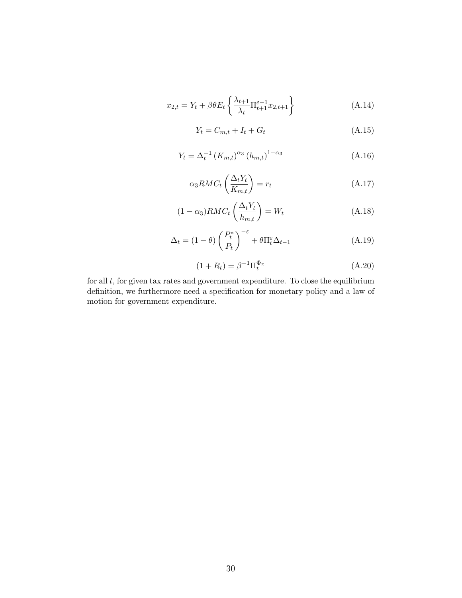$$
x_{2,t} = Y_t + \beta \theta E_t \left\{ \frac{\lambda_{t+1}}{\lambda_t} \Pi_{t+1}^{\varepsilon - 1} x_{2,t+1} \right\} \tag{A.14}
$$

$$
Y_t = C_{m,t} + I_t + G_t \tag{A.15}
$$

$$
Y_t = \Delta_t^{-1} (K_{m,t})^{\alpha_3} (h_{m,t})^{1-\alpha_3}
$$
 (A.16)

$$
\alpha_3 RMC_t \left(\frac{\Delta_t Y_t}{K_{m,t}}\right) = r_t \tag{A.17}
$$

$$
(1 - \alpha_3)RMC_t\left(\frac{\Delta_t Y_t}{h_{m,t}}\right) = W_t \tag{A.18}
$$

$$
\Delta_t = (1 - \theta) \left(\frac{P_t^*}{P_t}\right)^{-\varepsilon} + \theta \Pi_t^{\varepsilon} \Delta_{t-1}
$$
\n(A.19)

$$
(1 + R_t) = \beta^{-1} \Pi_t^{\Phi_\pi}
$$
 (A.20)

for all  $t$ , for given tax rates and government expenditure. To close the equilibrium definition, we furthermore need a specification for monetary policy and a law of motion for government expenditure.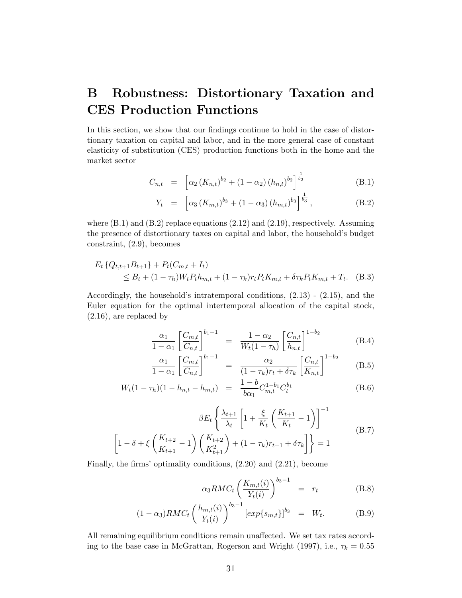## B Robustness: Distortionary Taxation and CES Production Functions

In this section, we show that our findings continue to hold in the case of distortionary taxation on capital and labor, and in the more general case of constant elasticity of substitution (CES) production functions both in the home and the market sector

$$
C_{n,t} = \left[ \alpha_2 \left( K_{n,t} \right)^{b_2} + \left( 1 - \alpha_2 \right) \left( h_{n,t} \right)^{b_2} \right]^{\frac{1}{b_2}} \tag{B.1}
$$

$$
Y_t = \left[ \alpha_3 \left( K_{m,t} \right)^{b_3} + (1 - \alpha_3) \left( h_{m,t} \right)^{b_3} \right]^{\frac{1}{b_3}}, \tag{B.2}
$$

where  $(B.1)$  and  $(B.2)$  replace equations  $(2.12)$  and  $(2.19)$ , respectively. Assuming the presence of distortionary taxes on capital and labor, the household's budget constraint, (2.9), becomes

$$
E_t \{Q_{t,t+1}B_{t+1}\} + P_t(C_{m,t} + I_t)
$$
  
\n
$$
\leq B_t + (1 - \tau_h)W_t P_t h_{m,t} + (1 - \tau_k) r_t P_t K_{m,t} + \delta \tau_k P_t K_{m,t} + T_t.
$$
 (B.3)

Accordingly, the household's intratemporal conditions, (2.13) - (2.15), and the Euler equation for the optimal intertemporal allocation of the capital stock, (2.16), are replaced by

$$
\frac{\alpha_1}{1-\alpha_1} \left[ \frac{C_{m,t}}{C_{n,t}} \right]^{b_1-1} = \frac{1-\alpha_2}{W_t(1-\tau_h)} \left[ \frac{C_{n,t}}{h_{n,t}} \right]^{1-b_2}
$$
(B.4)

$$
\frac{\alpha_1}{1 - \alpha_1} \left[ \frac{C_{m,t}}{C_{n,t}} \right]^{b_1 - 1} = \frac{\alpha_2}{(1 - \tau_k)r_t + \delta\tau_k} \left[ \frac{C_{n,t}}{K_{n,t}} \right]^{1 - b_2}
$$
(B.5)

$$
W_t(1 - \tau_h)(1 - h_{n,t} - h_{m,t}) = \frac{1 - b}{b\alpha_1} C_{m,t}^{1 - b_1} C_t^{b_1}
$$
 (B.6)

$$
\beta E_t \left\{ \frac{\lambda_{t+1}}{\lambda_t} \left[ 1 + \frac{\xi}{K_t} \left( \frac{K_{t+1}}{K_t} - 1 \right) \right]^{-1} \right\}
$$
\n
$$
\left[ 1 - \delta + \xi \left( \frac{K_{t+2}}{K_{t+1}} - 1 \right) \left( \frac{K_{t+2}}{K_{t+1}^2} \right) + (1 - \tau_k) r_{t+1} + \delta \tau_k \right] \right\} = 1
$$
\n(B.7)

Finally, the firms' optimality conditions, (2.20) and (2.21), become

$$
\alpha_3 RMC_t \left(\frac{K_{m,t}(i)}{Y_t(i)}\right)^{b_3-1} = r_t \tag{B.8}
$$

$$
(1 - \alpha_3) RM C_t \left(\frac{h_{m,t}(i)}{Y_t(i)}\right)^{b_3 - 1} [exp\{s_{m,t}\}]^{b_3} = W_t.
$$
 (B.9)

All remaining equilibrium conditions remain unaffected. We set tax rates according to the base case in McGrattan, Rogerson and Wright (1997), i.e.,  $\tau_k = 0.55$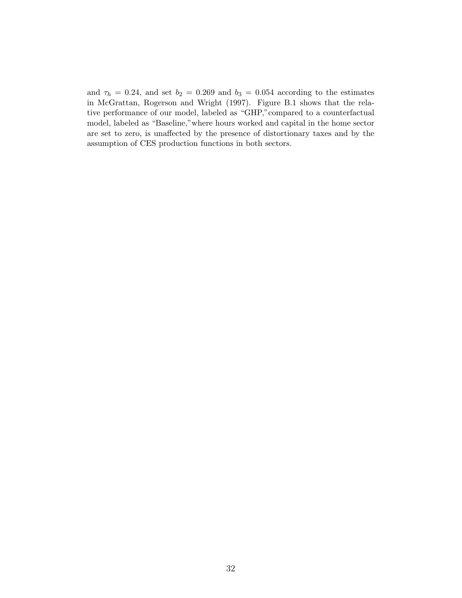and  $\tau_h = 0.24$ , and set  $b_2 = 0.269$  and  $b_3 = 0.054$  according to the estimates in McGrattan, Rogerson and Wright (1997). Figure B.1 shows that the relative performance of our model, labeled as "GHP,"compared to a counterfactual model, labeled as "Baseline,"where hours worked and capital in the home sector are set to zero, is unaffected by the presence of distortionary taxes and by the assumption of CES production functions in both sectors.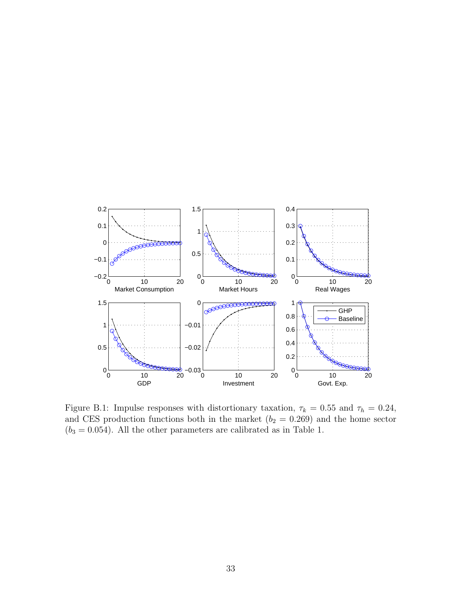

Figure B.1: Impulse responses with distortionary taxation,  $\tau_k = 0.55$  and  $\tau_h = 0.24$ , and CES production functions both in the market  $(b_2 = 0.269)$  and the home sector  $(b_3 = 0.054)$ . All the other parameters are calibrated as in Table 1.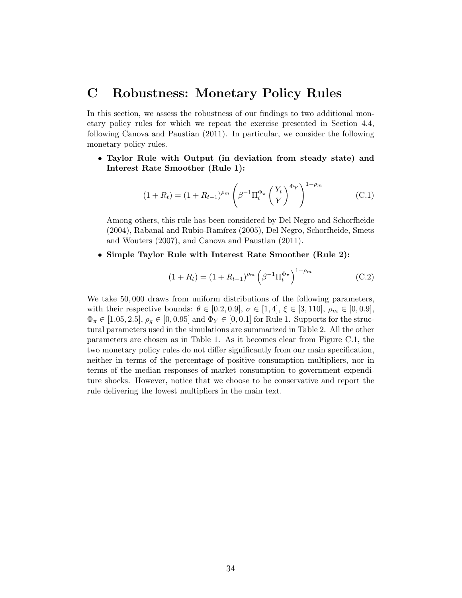## C Robustness: Monetary Policy Rules

In this section, we assess the robustness of our findings to two additional monetary policy rules for which we repeat the exercise presented in Section 4.4, following Canova and Paustian (2011). In particular, we consider the following monetary policy rules.

• Taylor Rule with Output (in deviation from steady state) and Interest Rate Smoother (Rule 1):

$$
(1 + R_t) = (1 + R_{t-1})^{\rho_m} \left( \beta^{-1} \Pi_t^{\Phi_\pi} \left( \frac{Y_t}{Y} \right)^{\Phi_Y} \right)^{1 - \rho_m}
$$
 (C.1)

Among others, this rule has been considered by Del Negro and Schorfheide  $(2004)$ , Rabanal and Rubio-Ramírez  $(2005)$ , Del Negro, Schorfheide, Smets and Wouters (2007), and Canova and Paustian (2011).

• Simple Taylor Rule with Interest Rate Smoother (Rule 2):

$$
(1 + R_t) = (1 + R_{t-1})^{\rho_m} \left(\beta^{-1} \Pi_t^{\Phi_\pi}\right)^{1 - \rho_m} \tag{C.2}
$$

We take 50, 000 draws from uniform distributions of the following parameters, with their respective bounds:  $\theta \in [0.2, 0.9], \sigma \in [1, 4], \xi \in [3, 110], \rho_m \in [0, 0.9],$  $\Phi_{\pi} \in [1.05, 2.5], \rho_g \in [0, 0.95]$  and  $\Phi_Y \in [0, 0.1]$  for Rule 1. Supports for the structural parameters used in the simulations are summarized in Table 2. All the other parameters are chosen as in Table 1. As it becomes clear from Figure C.1, the two monetary policy rules do not differ significantly from our main specification, neither in terms of the percentage of positive consumption multipliers, nor in terms of the median responses of market consumption to government expenditure shocks. However, notice that we choose to be conservative and report the rule delivering the lowest multipliers in the main text.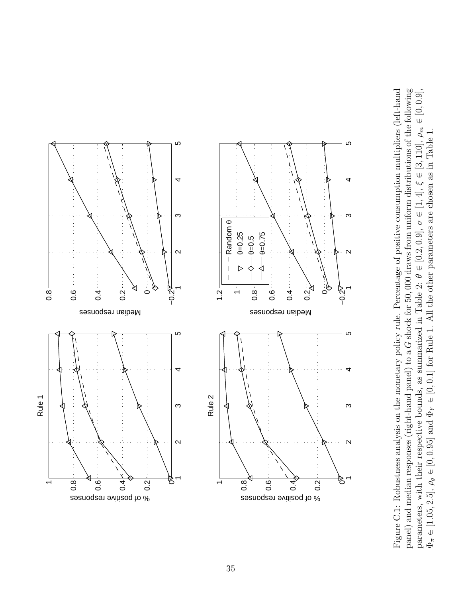

Figure C.1: Robustness analysis on the monetary policy rule. Percentage of positive consumption multipliers (left-hand Figure C.1: Robustness analysis on the monetary policy rule. Percentage of positive consumption multipliers (left-hand G shock for 50, 000 draws from uniform distributions of the following<br> $\frac{1}{2}$  =  $\frac{1}{2}$  =  $\frac{1}{2}$  =  $\frac{1}{2}$  =  $\frac{1}{6}$  =  $\frac{1}{2}$  =  $\frac{1}{6}$  =  $\frac{1}{6}$  =  $\frac{1}{6}$  =  $\frac{1}{6}$  =  $\frac{1}{6}$  $\in [0, 0.9],$  $\rho_m$  $\in [0, 0.1]$  for Rule 1. All the other parameters are chosen as in Table 1. Î.  $\in$  [3, 110], Ψ ∈ [1, 4], σ $\in [0.2, 0.9],$ θparameters, with their respective bounds, as summarized in Table 2: Gpanel) and median responses (right-hand panel) to a ∈ $\lambda$  $\rho_g \in [0, 0.95]$  and  $\Phi$  $\in$  [1.05, 2.5],  $\Phi_\pi$